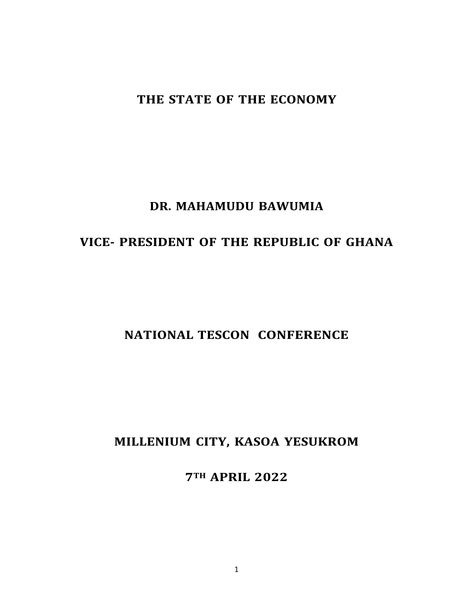## **THE STATE OF THE ECONOMY**

## **DR. MAHAMUDU BAWUMIA**

## **VICE- PRESIDENT OF THE REPUBLIC OF GHANA**

## **NATIONAL TESCON CONFERENCE**

## **MILLENIUM CITY, KASOA YESUKROM**

**7TH APRIL 2022**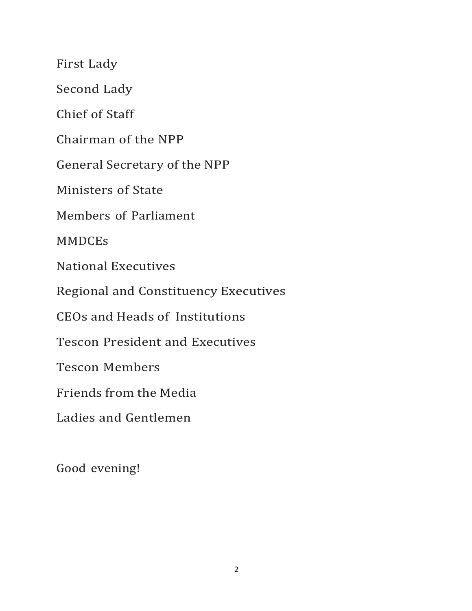First Lady

Second Lady

Chief of Staff

Chairman of the NPP

General Secretary of the NPP

Ministers of State

Members of Parliament

MMDCEs

National Executives

Regional and Constituency Executives

CEOs and Heads of Institutions

Tescon President and Executives

Tescon Members

Friends from the Media

Ladies and Gentlemen

Good evening!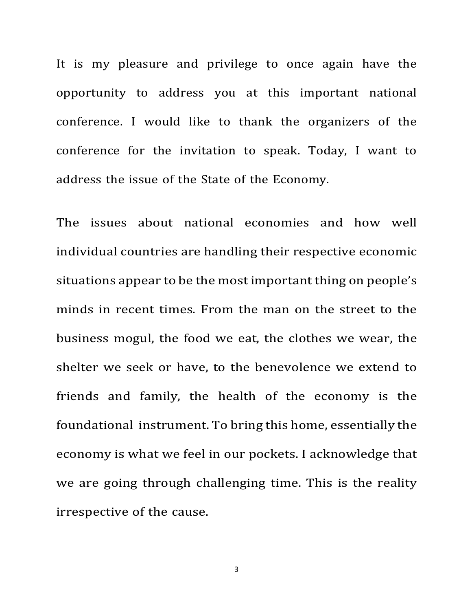It is my pleasure and privilege to once again have the opportunity to address you at this important national conference. I would like to thank the organizers of the conference for the invitation to speak. Today, I want to address the issue of the State of the Economy.

The issues about national economies and how well individual countries are handling their respective economic situations appear to be the most important thing on people's minds in recent times. From the man on the street to the business mogul, the food we eat, the clothes we wear, the shelter we seek or have, to the benevolence we extend to friends and family, the health of the economy is the foundational instrument. To bring this home, essentially the economy is what we feel in our pockets. I acknowledge that we are going through challenging time. This is the reality irrespective of the cause.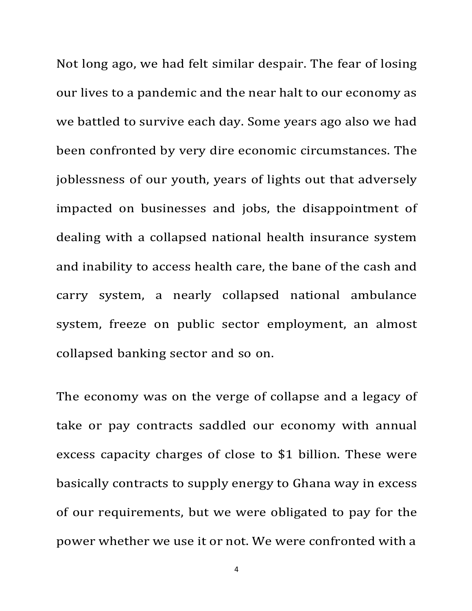Not long ago, we had felt similar despair. The fear of losing our lives to a pandemic and the near halt to our economy as we battled to survive each day. Some years ago also we had been confronted by very dire economic circumstances. The joblessness of our youth, years of lights out that adversely impacted on businesses and jobs, the disappointment of dealing with a collapsed national health insurance system and inability to access health care, the bane of the cash and carry system, a nearly collapsed national ambulance system, freeze on public sector employment, an almost collapsed banking sector and so on.

The economy was on the verge of collapse and a legacy of take or pay contracts saddled our economy with annual excess capacity charges of close to \$1 billion. These were basically contracts to supply energy to Ghana way in excess of our requirements, but we were obligated to pay for the power whether we use it or not. We were confronted with a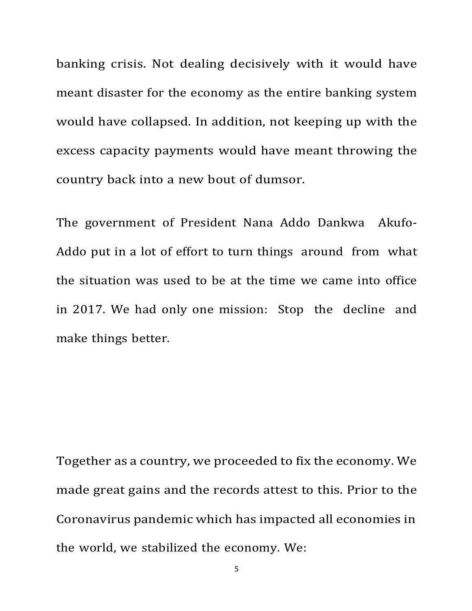banking crisis. Not dealing decisively with it would have meant disaster for the economy as the entire banking system would have collapsed. In addition, not keeping up with the excess capacity payments would have meant throwing the country back into a new bout of dumsor.

The government of President Nana Addo Dankwa Akufo-Addo put in a lot of effort to turn things around from what the situation was used to be at the time we came into office in 2017. We had only one mission: Stop the decline and make things better.

Together as a country, we proceeded to fix the economy. We made great gains and the records attest to this. Prior to the Coronavirus pandemic which has impacted all economies in the world, we stabilized the economy. We: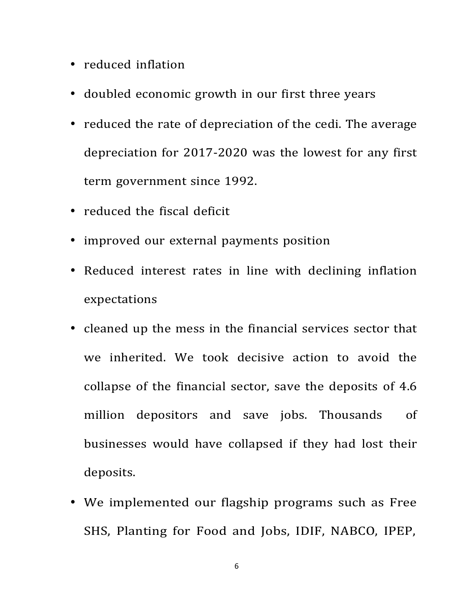- reduced inflation
- doubled economic growth in our first three years
- reduced the rate of depreciation of the cedi. The average depreciation for 2017-2020 was the lowest for any first term government since 1992.
- reduced the fiscal deficit
- improved our external payments position
- Reduced interest rates in line with declining inflation expectations
- cleaned up the mess in the financial services sector that we inherited. We took decisive action to avoid the collapse of the financial sector, save the deposits of 4.6 million depositors and save jobs. Thousands of businesses would have collapsed if they had lost their deposits.
- We implemented our flagship programs such as Free SHS, Planting for Food and Jobs, IDIF, NABCO, IPEP,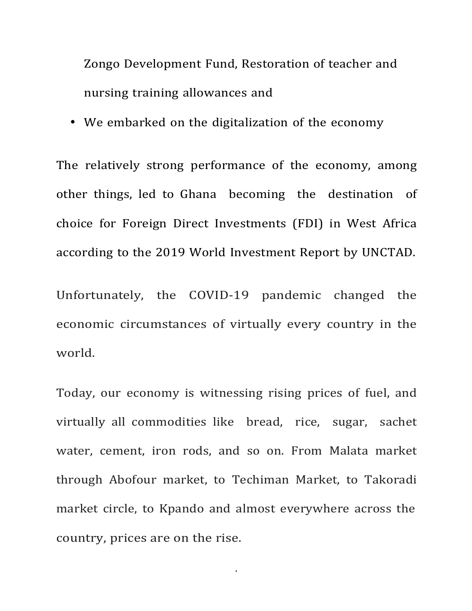Zongo Development Fund, Restoration of teacher and nursing training allowances and

• We embarked on the digitalization of the economy

The relatively strong performance of the economy, among other things, led to Ghana becoming the destination of choice for Foreign Direct Investments (FDI) in West Africa according to the 2019 World Investment Report by UNCTAD.

Unfortunately, the COVID-19 pandemic changed the economic circumstances of virtually every country in the world.

Today, our economy is witnessing rising prices of fuel, and virtually all commodities like bread, rice, sugar, sachet water, cement, iron rods, and so on. From Malata market through Abofour market, to Techiman Market, to Takoradi market circle, to Kpando and almost everywhere across the country, prices are on the rise.

7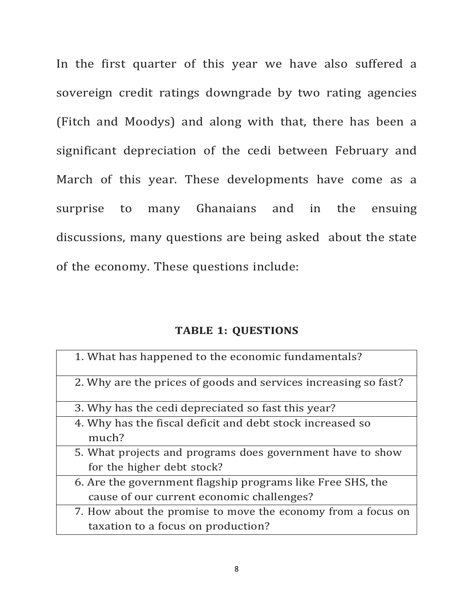In the first quarter of this year we have also suffered a sovereign credit ratings downgrade by two rating agencies (Fitch and Moodys) and along with that, there has been a significant depreciation of the cedi between February and March of this year. These developments have come as a surprise to many Ghanaians and in the ensuing discussions, many questions are being asked about the state of the economy. These questions include:

### **TABLE 1: QUESTIONS**

| 1. What has happened to the economic fundamentals?                 |
|--------------------------------------------------------------------|
| 2. Why are the prices of goods and services increasing so fast?    |
| 3. Why has the cedi depreciated so fast this year?                 |
| 4. Why has the fiscal deficit and debt stock increased so<br>much? |
| 5. What projects and programs does government have to show         |
| for the higher debt stock?                                         |
| 6. Are the government flagship programs like Free SHS, the         |
| cause of our current economic challenges?                          |
| 7. How about the promise to move the economy from a focus on       |
| taxation to a focus on production?                                 |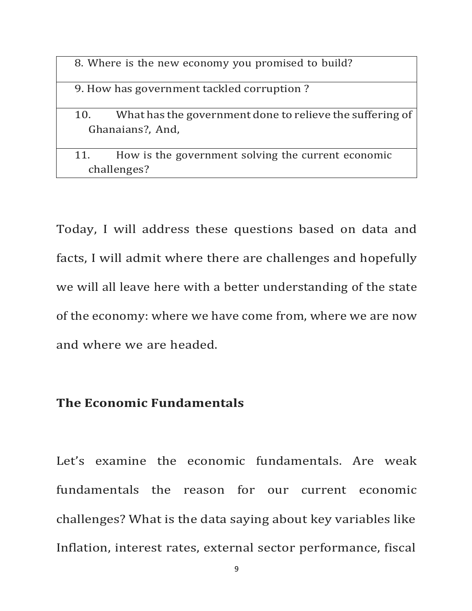8. Where is the new economy you promised to build?

9. How has government tackled corruption?

10. What has the government done to relieve the suffering of Ghanaians?, And,

11. How is the government solving the current economic challenges?

Today, I will address these questions based on data and facts, I will admit where there are challenges and hopefully we will all leave here with a better understanding of the state of the economy: where we have come from, where we are now and where we are headed.

### **The Economic Fundamentals**

Let's examine the economic fundamentals. Are weak fundamentals the reason for our current economic challenges? What is the data saying about key variables like Inflation, interest rates, external sector performance, fiscal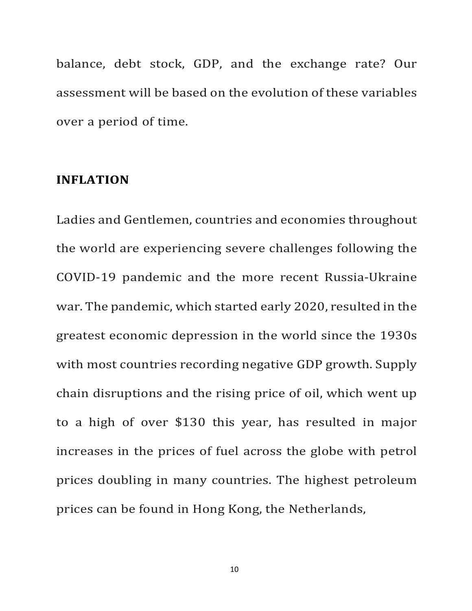balance, debt stock, GDP, and the exchange rate? Our assessment will be based on the evolution of these variables over a period of time.

### **INFLATION**

Ladies and Gentlemen, countries and economies throughout the world are experiencing severe challenges following the COVID-19 pandemic and the more recent Russia-Ukraine war. The pandemic, which started early 2020, resulted in the greatest economic depression in the world since the 1930s with most countries recording negative GDP growth. Supply chain disruptions and the rising price of oil, which went up to a high of over \$130 this year, has resulted in major increases in the prices of fuel across the globe with petrol prices doubling in many countries. The highest petroleum prices can be found in Hong Kong, the Netherlands,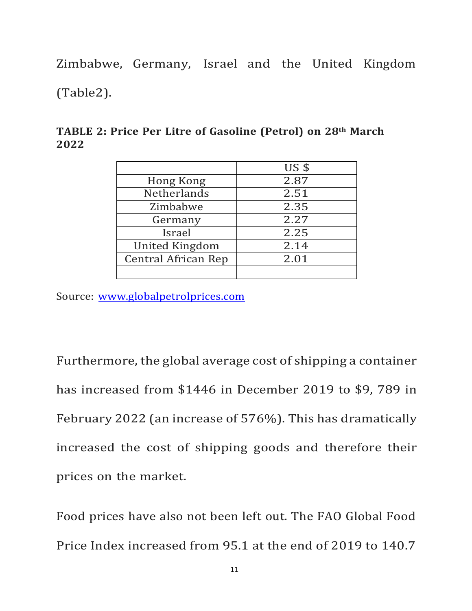Zimbabwe, Germany, Israel and the United Kingdom (Table2).

|                            | $US$ \$ |
|----------------------------|---------|
| Hong Kong                  | 2.87    |
| <b>Netherlands</b>         | 2.51    |
| Zimbabwe                   | 2.35    |
| Germany                    | 2.27    |
| Israel                     | 2.25    |
| United Kingdom             | 2.14    |
| <b>Central African Rep</b> | 2.01    |
|                            |         |

**TABLE 2: Price Per Litre of Gasoline (Petrol) on 28th March 2022**

Source: www.globalpetrolprices.com

Furthermore, the global average cost of shipping a container has increased from \$1446 in December 2019 to \$9, 789 in February 2022 (an increase of 576%). This has dramatically increased the cost of shipping goods and therefore their prices on the market.

Food prices have also not been left out. The FAO Global Food Price Index increased from 95.1 at the end of 2019 to 140.7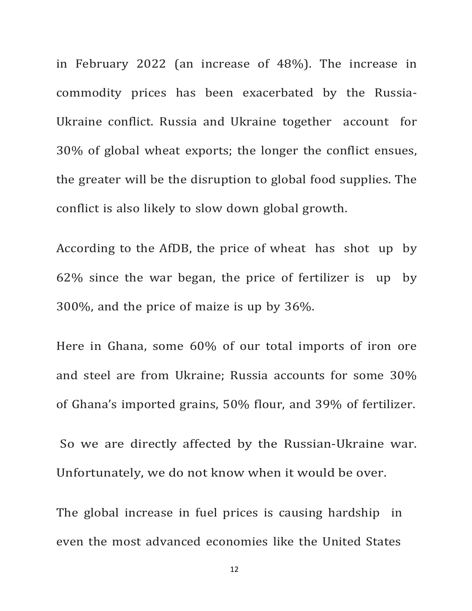in February 2022 (an increase of 48%). The increase in commodity prices has been exacerbated by the Russia-Ukraine conflict. Russia and Ukraine together account for 30% of global wheat exports; the longer the conflict ensues, the greater will be the disruption to global food supplies. The conflict is also likely to slow down global growth.

According to the AfDB, the price of wheat has shot up by  $62\%$  since the war began, the price of fertilizer is up by 300%, and the price of maize is up by 36%.

Here in Ghana, some 60% of our total imports of iron ore and steel are from Ukraine; Russia accounts for some 30% of Ghana's imported grains, 50% flour, and 39% of fertilizer.

So we are directly affected by the Russian-Ukraine war. Unfortunately, we do not know when it would be over.

The global increase in fuel prices is causing hardship in even the most advanced economies like the United States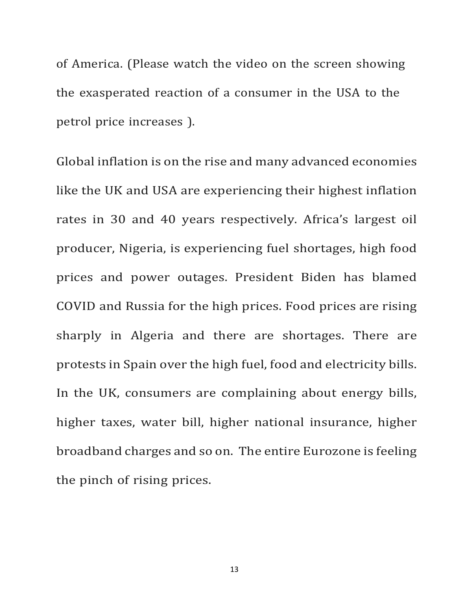of America. (Please watch the video on the screen showing the exasperated reaction of a consumer in the USA to the petrol price increases ).

Global inflation is on the rise and many advanced economies like the UK and USA are experiencing their highest inflation rates in 30 and 40 years respectively. Africa's largest oil producer, Nigeria, is experiencing fuel shortages, high food prices and power outages. President Biden has blamed COVID and Russia for the high prices. Food prices are rising sharply in Algeria and there are shortages. There are protests in Spain over the high fuel, food and electricity bills. In the UK, consumers are complaining about energy bills, higher taxes, water bill, higher national insurance, higher broadband charges and so on. The entire Eurozone is feeling the pinch of rising prices.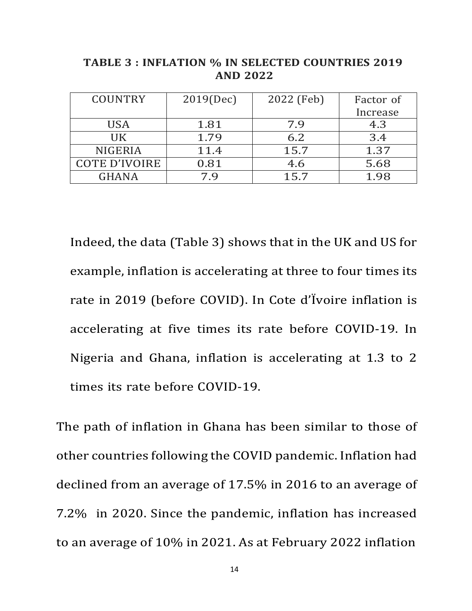| <b>COUNTRY</b>       | 2019(Dec) | 2022 (Feb) | Factor of |
|----------------------|-----------|------------|-----------|
|                      |           |            | Increase  |
| <b>USA</b>           | 1.81      | 7.9        | 4.3       |
| HK.                  | 1.79      | 6.2        | 3.4       |
| <b>NIGERIA</b>       | 11.4      | 15.7       | 1.37      |
| <b>COTE D'IVOIRE</b> | 0.81      | 4.6        | 5.68      |
| <b>GHANA</b>         | 7.9       | 15.7       | 1.98      |

**TABLE 3 : INFLATION % IN SELECTED COUNTRIES 2019 AND 2022**

Indeed, the data (Table 3) shows that in the UK and US for example, inflation is accelerating at three to four times its rate in 2019 (before COVID). In Cote d'Ivoire inflation is accelerating at five times its rate before COVID-19. In Nigeria and Ghana, inflation is accelerating at 1.3 to 2 times its rate before COVID-19.

The path of inflation in Ghana has been similar to those of other countries following the COVID pandemic. Inflation had declined from an average of 17.5% in 2016 to an average of 7.2% in 2020. Since the pandemic, inflation has increased to an average of 10% in 2021. As at February 2022 inflation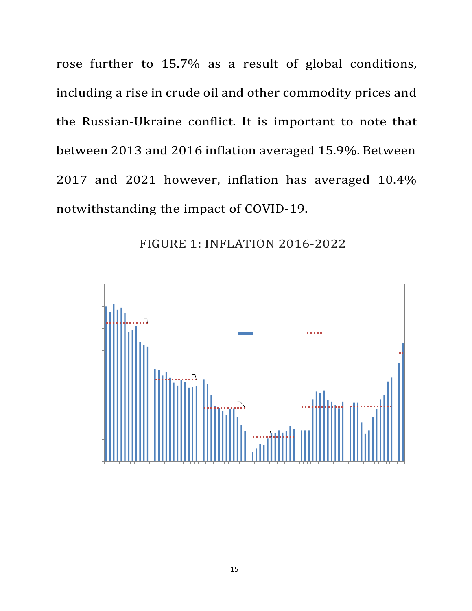rose further to 15.7% as a result of global conditions, including a rise in crude oil and other commodity prices and the Russian-Ukraine conflict. It is important to note that between 2013 and 2016 inflation averaged 15.9%. Between 2017 and 2021 however, inflation has averaged 10.4% notwithstanding the impact of COVID-19.

FIGURE 1: INFLATION 2016-2022

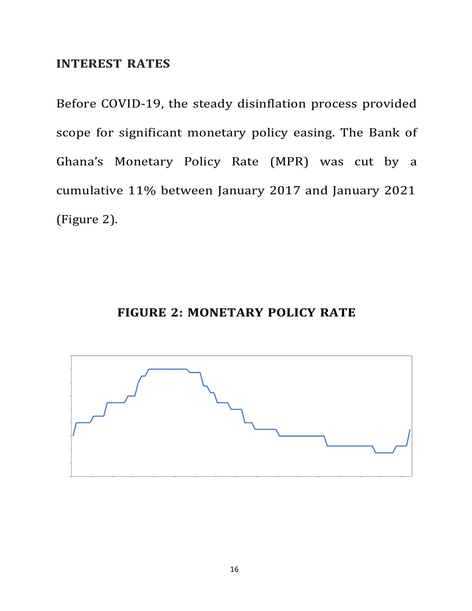### **INTEREST RATES**

Before COVID-19, the steady disinflation process provided scope for significant monetary policy easing. The Bank of Ghana's Monetary Policy Rate (MPR) was cut by a cumulative 11% between January 2017 and January 2021 (Figure 2).

## **FIGURE 2: MONETARY POLICY RATE**

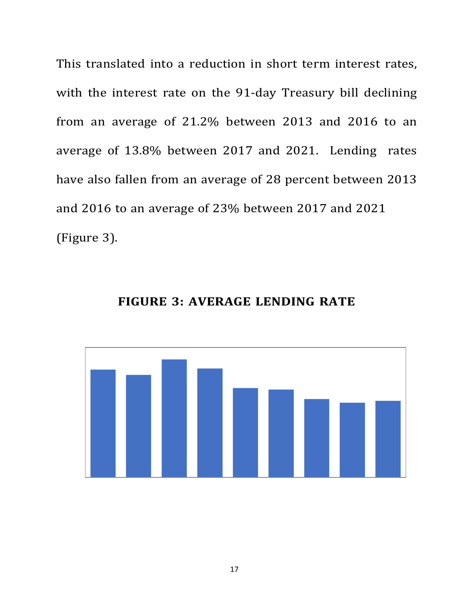This translated into a reduction in short term interest rates, with the interest rate on the 91-day Treasury bill declining from an average of 21.2% between 2013 and 2016 to an average of 13.8% between 2017 and 2021. Lending rates have also fallen from an average of 28 percent between 2013 and 2016 to an average of 23% between 2017 and 2021 (Figure 3).



**FIGURE 3: AVERAGE LENDING RATE**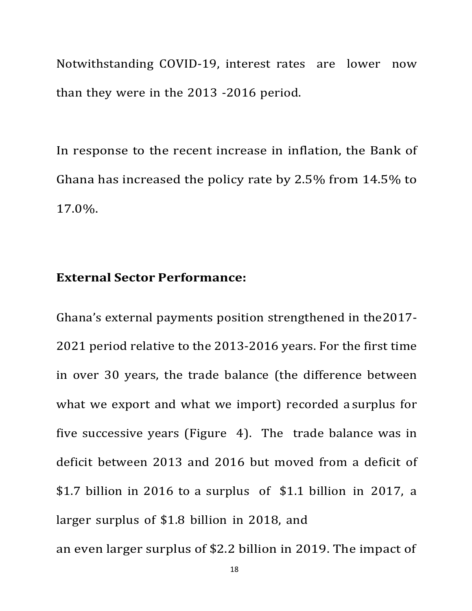Notwithstanding COVID-19, interest rates are lower now than they were in the 2013 -2016 period.

In response to the recent increase in inflation, the Bank of Ghana has increased the policy rate by  $2.5\%$  from  $14.5\%$  to 17.0%.

### **External Sector Performance:**

Ghana's external payments position strengthened in the2017- 2021 period relative to the 2013-2016 years. For the first time in over 30 years, the trade balance (the difference between what we export and what we import) recorded a surplus for five successive years (Figure  $\,$  4). The trade balance was in deficit between 2013 and 2016 but moved from a deficit of \$1.7 billion in 2016 to a surplus of  $$1.1$  billion in 2017, a larger surplus of \$1.8 billion in 2018, and an even larger surplus of \$2.2 billion in 2019. The impact of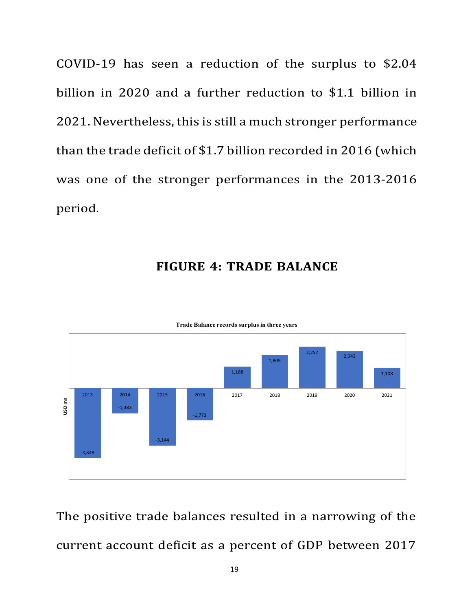COVID-19 has seen a reduction of the surplus to \$2.04 billion in 2020 and a further reduction to \$1.1 billion in 2021. Nevertheless, this is still a much stronger performance than the trade deficit of \$1.7 billion recorded in 2016 (which was one of the stronger performances in the 2013-2016 period.

### **FIGURE 4: TRADE BALANCE**



#### **Trade Balance records surplus in three years**

The positive trade balances resulted in a narrowing of the current account deficit as a percent of GDP between 2017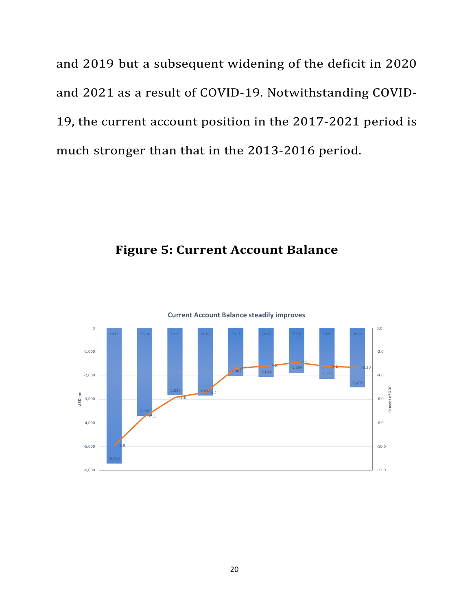and 2019 but a subsequent widening of the deficit in 2020 and 2021 as a result of COVID-19. Notwithstanding COVID-19, the current account position in the 2017-2021 period is much stronger than that in the 2013-2016 period.

# **Figure 5: Current Account Balance**



**Current Account Balance steadily improves**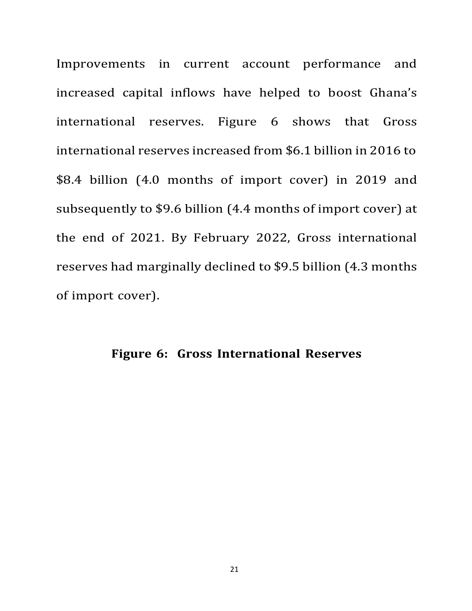Improvements in current account performance and increased capital inflows have helped to boost Ghana's international reserves. Figure 6 shows that Gross international reserves increased from \$6.1 billion in 2016 to \$8.4 billion (4.0 months of import cover) in 2019 and subsequently to \$9.6 billion (4.4 months of import cover) at the end of 2021. By February 2022, Gross international reserves had marginally declined to \$9.5 billion (4.3 months of import cover).

## **Figure 6: Gross International Reserves**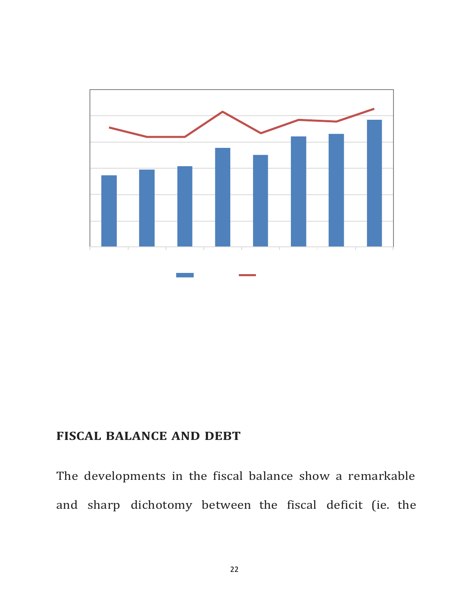

## **FISCAL BALANCE AND DEBT**

The developments in the fiscal balance show a remarkable and sharp dichotomy between the fiscal deficit (ie. the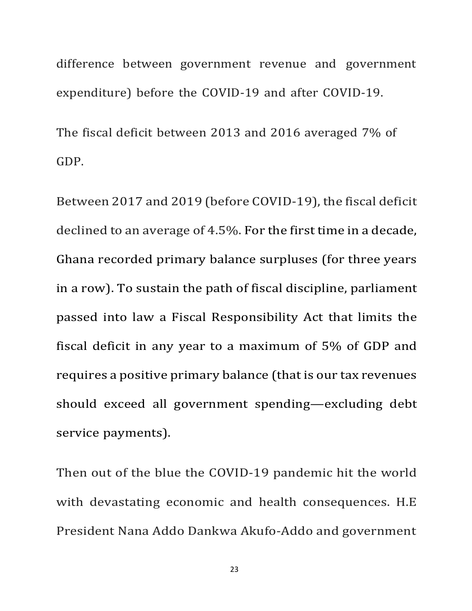difference between government revenue and government expenditure) before the COVID-19 and after COVID-19.

The fiscal deficit between 2013 and 2016 averaged 7% of GDP.

Between 2017 and 2019 (before COVID-19), the fiscal deficit declined to an average of 4.5%. For the first time in a decade, Ghana recorded primary balance surpluses (for three years in a row). To sustain the path of fiscal discipline, parliament passed into law a Fiscal Responsibility Act that limits the fiscal deficit in any year to a maximum of 5% of GDP and requires a positive primary balance (that is our tax revenues should exceed all government spending—excluding debt service payments).

Then out of the blue the COVID-19 pandemic hit the world with devastating economic and health consequences. H.E. President Nana Addo Dankwa Akufo-Addo and government

23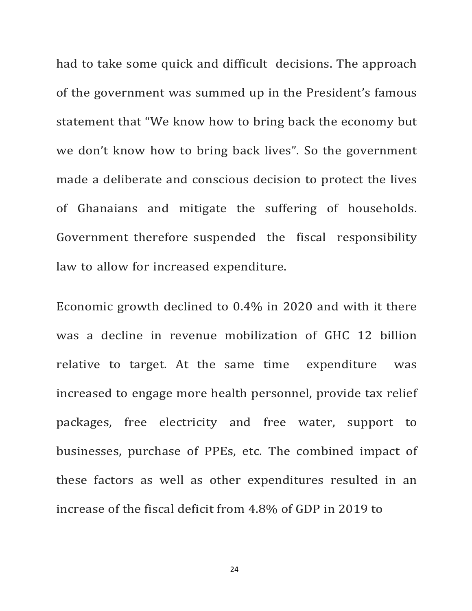had to take some quick and difficult decisions. The approach of the government was summed up in the President's famous statement that "We know how to bring back the economy but we don't know how to bring back lives". So the government made a deliberate and conscious decision to protect the lives of Ghanaians and mitigate the suffering of households. Government therefore suspended the fiscal responsibility law to allow for increased expenditure.

Economic growth declined to  $0.4\%$  in 2020 and with it there was a decline in revenue mobilization of GHC 12 billion relative to target. At the same time expenditure was increased to engage more health personnel, provide tax relief packages, free electricity and free water, support to businesses, purchase of PPEs, etc. The combined impact of these factors as well as other expenditures resulted in an increase of the fiscal deficit from 4.8% of GDP in 2019 to

24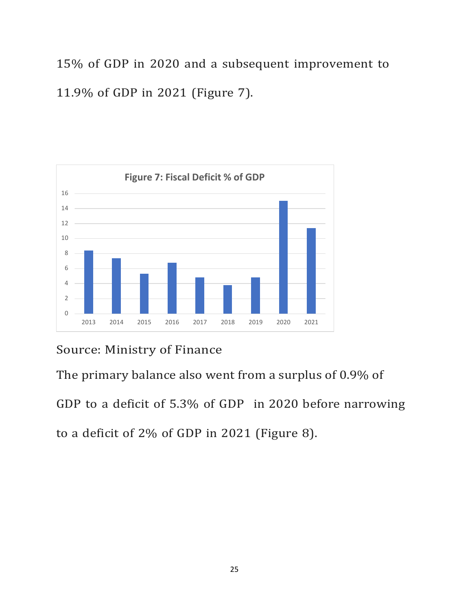15% of GDP in 2020 and a subsequent improvement to 11.9% of GDP in 2021 (Figure 7).



# Source: Ministry of Finance

The primary balance also went from a surplus of 0.9% of

GDP to a deficit of 5.3% of GDP in 2020 before narrowing to a deficit of 2% of GDP in 2021 (Figure 8).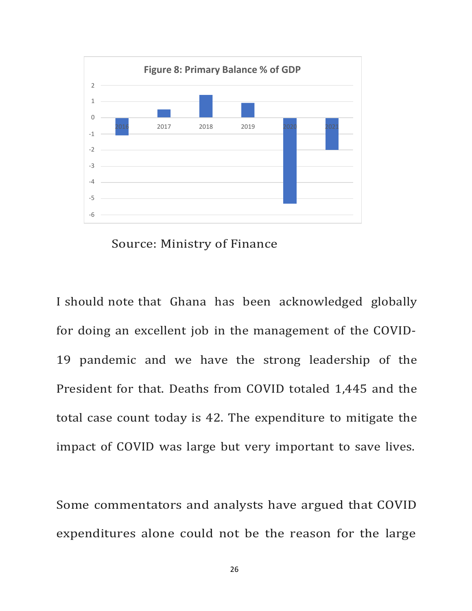



I should note that Ghana has been acknowledged globally for doing an excellent job in the management of the COVID-19 pandemic and we have the strong leadership of the President for that. Deaths from COVID totaled 1,445 and the total case count today is 42. The expenditure to mitigate the impact of COVID was large but very important to save lives.

Some commentators and analysts have argued that COVID expenditures alone could not be the reason for the large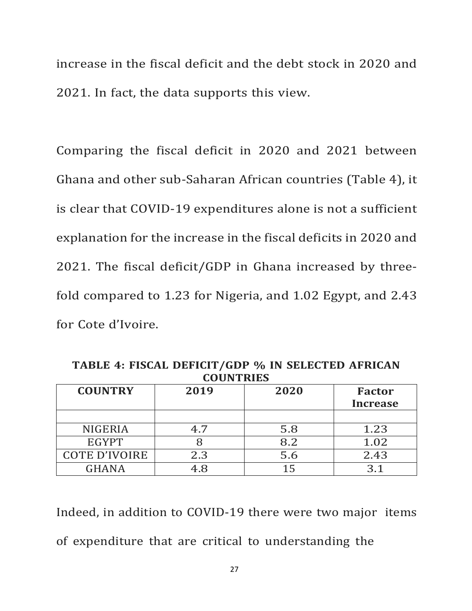increase in the fiscal deficit and the debt stock in 2020 and 2021. In fact, the data supports this view.

Comparing the fiscal deficit in 2020 and 2021 between Ghana and other sub-Saharan African countries (Table 4), it is clear that COVID-19 expenditures alone is not a sufficient explanation for the increase in the fiscal deficits in 2020 and 2021. The fiscal deficit/GDP in Ghana increased by threefold compared to 1.23 for Nigeria, and  $1.02$  Egypt, and  $2.43$ for Cote d'Ivoire.

**TABLE 4: FISCAL DEFICIT/GDP % IN SELECTED AFRICAN COUNTRIES**

| <b>COUNTRY</b>       | 2019 | 2020 | <b>Factor</b>   |
|----------------------|------|------|-----------------|
|                      |      |      | <b>Increase</b> |
|                      |      |      |                 |
| <b>NIGERIA</b>       | 4.7  | 5.8  | 1.23            |
| <b>EGYPT</b>         |      | 8.2  | 1.02            |
| <b>COTE D'IVOIRE</b> | 2.3  | 5.6  | 2.43            |
| <b>GHANA</b>         | .8   |      |                 |

Indeed, in addition to COVID-19 there were two major items of expenditure that are critical to understanding the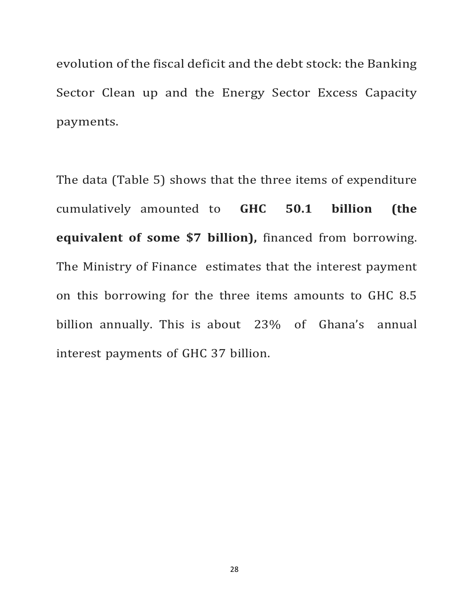evolution of the fiscal deficit and the debt stock: the Banking Sector Clean up and the Energy Sector Excess Capacity payments.

The data (Table 5) shows that the three items of expenditure cumulatively amounted to **GHC 50.1 billion (the equivalent of some \$7 billion),** financed from borrowing. The Ministry of Finance estimates that the interest payment on this borrowing for the three items amounts to GHC 8.5 billion annually. This is about 23% of Ghana's annual interest payments of GHC 37 billion.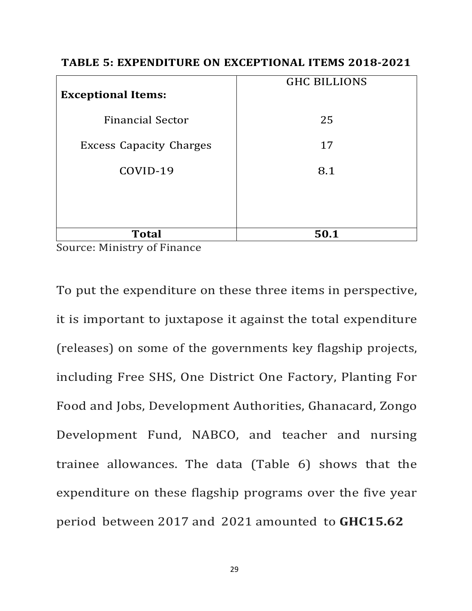| <b>Exceptional Items:</b>      | <b>GHC BILLIONS</b> |
|--------------------------------|---------------------|
| <b>Financial Sector</b>        | 25                  |
| <b>Excess Capacity Charges</b> | 17                  |
| COVID-19                       | 8.1                 |
|                                |                     |
|                                |                     |
| <b>Total</b>                   | 50.1                |

### **TABLE 5: EXPENDITURE ON EXCEPTIONAL ITEMS 2018-2021**

Source: Ministry of Finance

To put the expenditure on these three items in perspective, it is important to juxtapose it against the total expenditure (releases) on some of the governments key flagship projects, including Free SHS, One District One Factory, Planting For Food and Jobs, Development Authorities, Ghanacard, Zongo Development Fund, NABCO, and teacher and nursing trainee allowances. The data (Table 6) shows that the expenditure on these flagship programs over the five year period between 2017 and 2021 amounted to **GHC15.62**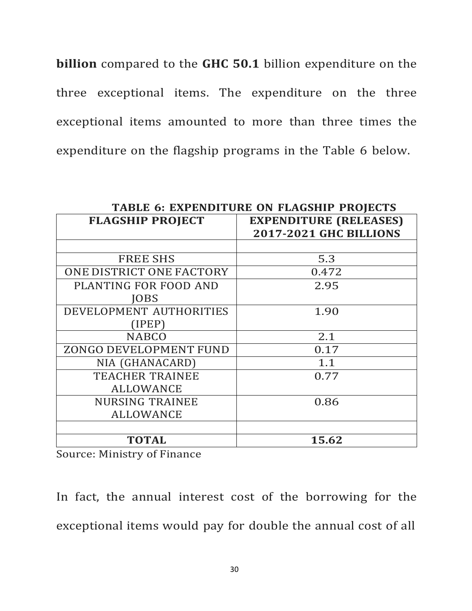**billion** compared to the GHC 50.1 billion expenditure on the three exceptional items. The expenditure on the three exceptional items amounted to more than three times the expenditure on the flagship programs in the Table 6 below.

| <b>TABLE 6: EXPENDITURE ON FLAGSHIP PROJECTS</b> |                                                                |  |  |  |
|--------------------------------------------------|----------------------------------------------------------------|--|--|--|
| <b>FLAGSHIP PROJECT</b>                          | <b>EXPENDITURE (RELEASES)</b><br><b>2017-2021 GHC BILLIONS</b> |  |  |  |
|                                                  |                                                                |  |  |  |
| <b>FREE SHS</b>                                  | 5.3                                                            |  |  |  |
| ONE DISTRICT ONE FACTORY                         | 0.472                                                          |  |  |  |
| PLANTING FOR FOOD AND                            | 2.95                                                           |  |  |  |
| <b>IOBS</b>                                      |                                                                |  |  |  |
| DEVELOPMENT AUTHORITIES                          | 1.90                                                           |  |  |  |
| (IPEP)                                           |                                                                |  |  |  |
| <b>NABCO</b>                                     | 2.1                                                            |  |  |  |
| ZONGO DEVELOPMENT FUND                           | 0.17                                                           |  |  |  |
| NIA (GHANACARD)                                  | 1.1                                                            |  |  |  |
| <b>TEACHER TRAINEE</b>                           | 0.77                                                           |  |  |  |
| <b>ALLOWANCE</b>                                 |                                                                |  |  |  |
| <b>NURSING TRAINEE</b>                           | 0.86                                                           |  |  |  |
| <b>ALLOWANCE</b>                                 |                                                                |  |  |  |
|                                                  |                                                                |  |  |  |
| <b>TOTAL</b>                                     | 15.62                                                          |  |  |  |

Source: Ministry of Finance

In fact, the annual interest cost of the borrowing for the exceptional items would pay for double the annual cost of all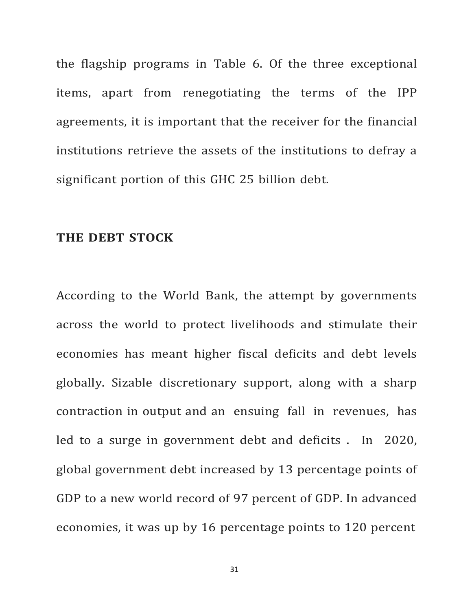the flagship programs in Table 6. Of the three exceptional items, apart from renegotiating the terms of the IPP agreements, it is important that the receiver for the financial institutions retrieve the assets of the institutions to defray a significant portion of this GHC 25 billion debt.

### **THE DEBT STOCK**

According to the World Bank, the attempt by governments across the world to protect livelihoods and stimulate their economies has meant higher fiscal deficits and debt levels globally. Sizable discretionary support, along with a sharp contraction in output and an ensuing fall in revenues, has led to a surge in government debt and deficits . In  $2020$ , global government debt increased by 13 percentage points of GDP to a new world record of 97 percent of GDP. In advanced economies, it was up by 16 percentage points to 120 percent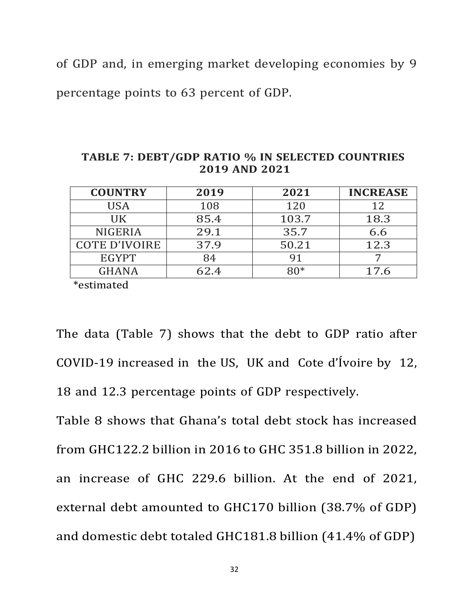of GDP and, in emerging market developing economies by 9

percentage points to 63 percent of GDP.

| <b>COUNTRY</b>       | 2019 | 2021  | <b>INCREASE</b> |
|----------------------|------|-------|-----------------|
| <b>USA</b>           | 108  | 120   | 12              |
| UK                   | 85.4 | 103.7 | 18.3            |
| <b>NIGERIA</b>       | 29.1 | 35.7  | 6.6             |
| <b>COTE D'IVOIRE</b> | 37.9 | 50.21 | 12.3            |
| <b>EGYPT</b>         | 84   | 91    |                 |
| <b>GHANA</b>         | 62.4 |       | 17.6            |

**TABLE 7: DEBT/GDP RATIO % IN SELECTED COUNTRIES 2019 AND 2021**

\*estimated

The data (Table 7) shows that the debt to GDP ratio after COVID-19 increased in the US, UK and Cote d'Ívoire by 12, 18 and 12.3 percentage points of GDP respectively.

Table 8 shows that Ghana's total debt stock has increased from GHC122.2 billion in 2016 to GHC 351.8 billion in 2022, an increase of GHC 229.6 billion. At the end of 2021, external debt amounted to GHC170 billion (38.7% of GDP) and domestic debt totaled GHC181.8 billion (41.4% of GDP)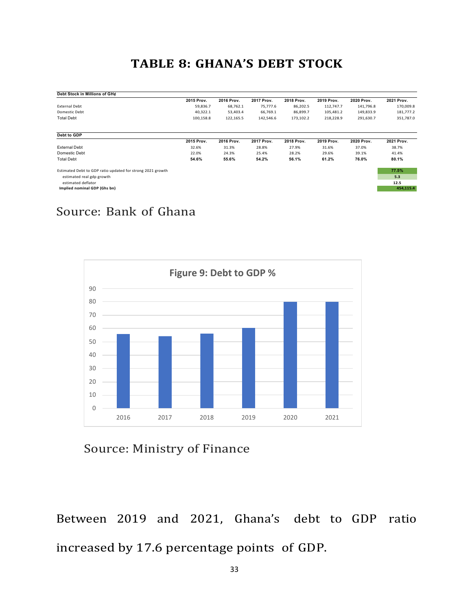# **TABLE 8: GHANA'S DEBT STOCK**

| Debt Stock in Millions of GH¢                              |            |            |            |            |            |            |            |
|------------------------------------------------------------|------------|------------|------------|------------|------------|------------|------------|
|                                                            | 2015 Prov. | 2016 Prov. | 2017 Prov. | 2018 Prov. | 2019 Prov. | 2020 Prov. | 2021 Prov. |
| <b>External Debt</b>                                       | 59,836.7   | 68,762.1   | 75,777.6   | 86,202.5   | 112,747.7  | 141,796.8  | 170,009.8  |
| Domestic Debt                                              | 40,322.1   | 53,403.4   | 66,769.1   | 86,899.7   | 105,481.2  | 149,833.9  | 181,777.2  |
| <b>Total Debt</b>                                          | 100,158.8  | 122,165.5  | 142,546.6  | 173,102.2  | 218,228.9  | 291,630.7  | 351,787.0  |
| Debt to GDP                                                |            |            |            |            |            |            |            |
|                                                            | 2015 Prov. | 2016 Prov. | 2017 Prov. | 2018 Prov. | 2019 Prov. | 2020 Prov. | 2021 Prov. |
| <b>External Debt</b>                                       | 32.6%      | 31.3%      | 28.8%      | 27.9%      | 31.6%      | 37.0%      | 38.7%      |
| Domestic Debt                                              | 22.0%      | 24.3%      | 25.4%      | 28.2%      | 29.6%      | 39.1%      | 41.4%      |
| <b>Total Debt</b>                                          | 54.6%      | 55.6%      | 54.2%      | 56.1%      | 61.2%      | 76.0%      | 80.1%      |
| Estimated Debt to GDP ratio updated for strong 2021 growth |            |            |            |            |            |            | 77.5%      |
| estimated real gdp growth                                  |            |            |            |            |            |            | 5.3        |
| estimated deflator                                         |            |            |            |            |            |            | 12.5       |
| Implied nominal GDP (Ghs bn)                               |            |            |            |            |            |            | 454,115.4  |

# Source: Bank of Ghana



Source: Ministry of Finance

Between 2019 and 2021, Ghana's debt to GDP ratio increased by 17.6 percentage points of GDP.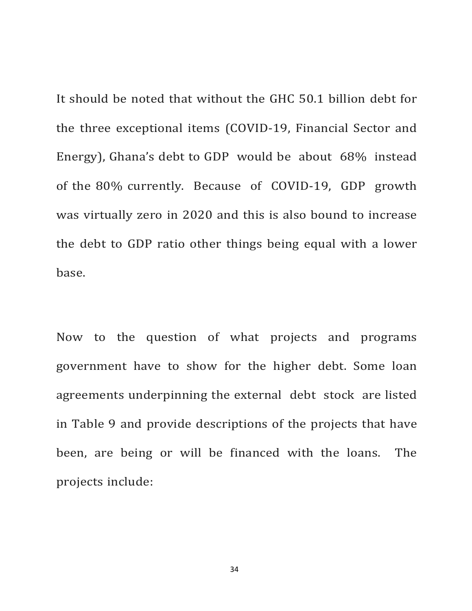It should be noted that without the GHC 50.1 billion debt for the three exceptional items (COVID-19, Financial Sector and Energy), Ghana's debt to GDP would be about  $68\%$  instead of the 80% currently. Because of COVID-19, GDP growth was virtually zero in 2020 and this is also bound to increase the debt to GDP ratio other things being equal with a lower base.

Now to the question of what projects and programs government have to show for the higher debt. Some loan agreements underpinning the external debt stock are listed in Table 9 and provide descriptions of the projects that have been, are being or will be financed with the loans. The projects include: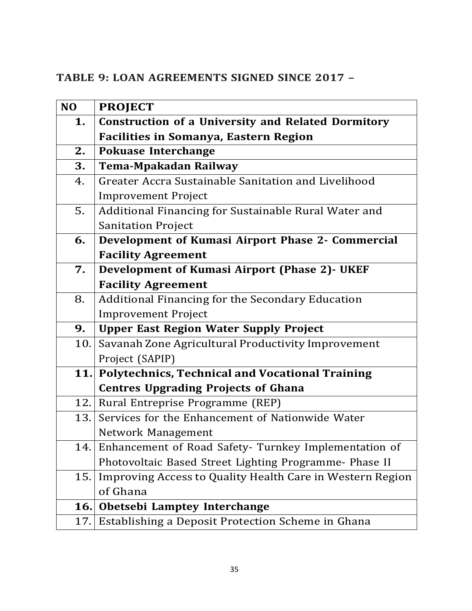# **TABLE 9: LOAN AGREEMENTS SIGNED SINCE 2017 –**

| N <sub>O</sub> | <b>PROJECT</b>                                            |
|----------------|-----------------------------------------------------------|
| 1.             | <b>Construction of a University and Related Dormitory</b> |
|                | <b>Facilities in Somanya, Eastern Region</b>              |
| 2.             | <b>Pokuase Interchange</b>                                |
| 3.             | <b>Tema-Mpakadan Railway</b>                              |
| 4.             | Greater Accra Sustainable Sanitation and Livelihood       |
|                | <b>Improvement Project</b>                                |
| 5.             | Additional Financing for Sustainable Rural Water and      |
|                | <b>Sanitation Project</b>                                 |
| 6.             | Development of Kumasi Airport Phase 2- Commercial         |
|                | <b>Facility Agreement</b>                                 |
| 7.             | Development of Kumasi Airport (Phase 2)- UKEF             |
|                | <b>Facility Agreement</b>                                 |
| 8.             | <b>Additional Financing for the Secondary Education</b>   |
|                | <b>Improvement Project</b>                                |
| 9.             | <b>Upper East Region Water Supply Project</b>             |
| 10.            | Savanah Zone Agricultural Productivity Improvement        |
|                | Project (SAPIP)                                           |
| 11.            | <b>Polytechnics, Technical and Vocational Training</b>    |
|                | <b>Centres Upgrading Projects of Ghana</b>                |
| 12.1           | Rural Entreprise Programme (REP)                          |
| 13.            | Services for the Enhancement of Nationwide Water          |
|                | Network Management                                        |
| 14.            | Enhancement of Road Safety- Turnkey Implementation of     |
|                | Photovoltaic Based Street Lighting Programme- Phase II    |
| 15.            | Improving Access to Quality Health Care in Western Region |
|                | of Ghana                                                  |
| <b>16.</b>     | Obetsebi Lamptey Interchange                              |
| 17.            | Establishing a Deposit Protection Scheme in Ghana         |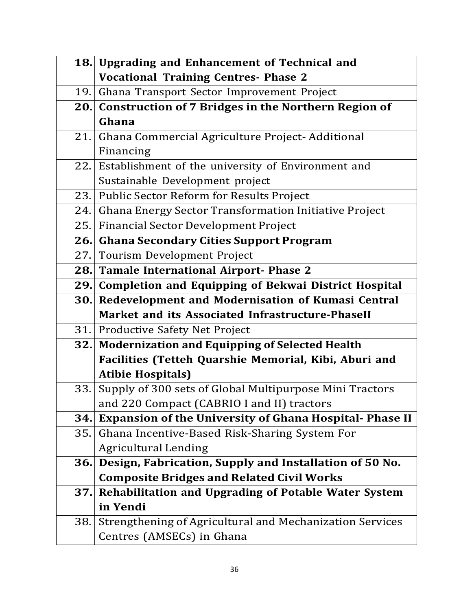|      | 18. Upgrading and Enhancement of Technical and                |
|------|---------------------------------------------------------------|
|      | <b>Vocational Training Centres- Phase 2</b>                   |
| 19.  | Ghana Transport Sector Improvement Project                    |
| 20.1 | <b>Construction of 7 Bridges in the Northern Region of</b>    |
|      | Ghana                                                         |
| 21.1 | Ghana Commercial Agriculture Project-Additional               |
|      | Financing                                                     |
| 22.  | Establishment of the university of Environment and            |
|      | Sustainable Development project                               |
| 23.1 | Public Sector Reform for Results Project                      |
| 24.  | Ghana Energy Sector Transformation Initiative Project         |
| 25.  | <b>Financial Sector Development Project</b>                   |
| 26.  | <b>Ghana Secondary Cities Support Program</b>                 |
| 27.  | Tourism Development Project                                   |
| 28.  | <b>Tamale International Airport- Phase 2</b>                  |
|      | 29. Completion and Equipping of Bekwai District Hospital      |
| 30.  | Redevelopment and Modernisation of Kumasi Central             |
|      | Market and its Associated Infrastructure-PhaseII              |
| 31.  | Productive Safety Net Project                                 |
| 32.  | <b>Modernization and Equipping of Selected Health</b>         |
|      | Facilities (Tetteh Quarshie Memorial, Kibi, Aburi and         |
|      | <b>Atibie Hospitals)</b>                                      |
| 33.  | Supply of 300 sets of Global Multipurpose Mini Tractors       |
|      | and 220 Compact (CABRIO I and II) tractors                    |
| 34.  | <b>Expansion of the University of Ghana Hospital-Phase II</b> |
| 35.  | Ghana Incentive-Based Risk-Sharing System For                 |
|      | <b>Agricultural Lending</b>                                   |
| 36.  | Design, Fabrication, Supply and Installation of 50 No.        |
|      | <b>Composite Bridges and Related Civil Works</b>              |
| 37.  | <b>Rehabilitation and Upgrading of Potable Water System</b>   |
|      | in Yendi                                                      |
| 38.  | Strengthening of Agricultural and Mechanization Services      |
|      | Centres (AMSECs) in Ghana                                     |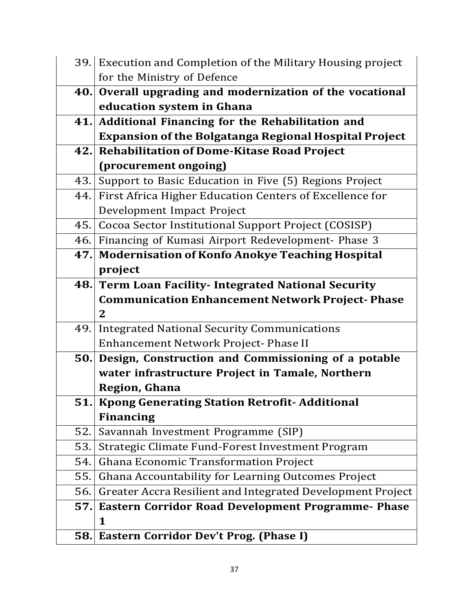|      | 39. Execution and Completion of the Military Housing project |  |
|------|--------------------------------------------------------------|--|
|      | for the Ministry of Defence                                  |  |
| 40.  | Overall upgrading and modernization of the vocational        |  |
|      | education system in Ghana                                    |  |
|      | 41. Additional Financing for the Rehabilitation and          |  |
|      | <b>Expansion of the Bolgatanga Regional Hospital Project</b> |  |
| 42.1 | <b>Rehabilitation of Dome-Kitase Road Project</b>            |  |
|      | (procurement ongoing)                                        |  |
| 43.  | Support to Basic Education in Five (5) Regions Project       |  |
| 44.  | First Africa Higher Education Centers of Excellence for      |  |
|      | Development Impact Project                                   |  |
| 45.  | Cocoa Sector Institutional Support Project (COSISP)          |  |
| 46.  | Financing of Kumasi Airport Redevelopment- Phase 3           |  |
| 47.  | <b>Modernisation of Konfo Anokye Teaching Hospital</b>       |  |
|      | project                                                      |  |
| 48.  | <b>Term Loan Facility- Integrated National Security</b>      |  |
|      | <b>Communication Enhancement Network Project-Phase</b>       |  |
|      | $\mathbf{2}$                                                 |  |
| 49.  | <b>Integrated National Security Communications</b>           |  |
|      | Enhancement Network Project-Phase II                         |  |
| 50.  | Design, Construction and Commissioning of a potable          |  |
|      | water infrastructure Project in Tamale, Northern             |  |
|      | <b>Region, Ghana</b>                                         |  |
|      | 51. Kpong Generating Station Retrofit-Additional             |  |
|      | <b>Financing</b>                                             |  |
| 52.  | Savannah Investment Programme (SIP)                          |  |
| 53.  | Strategic Climate Fund-Forest Investment Program             |  |
| 54.  | Ghana Economic Transformation Project                        |  |
| 55.  | Ghana Accountability for Learning Outcomes Project           |  |
| 56.  | Greater Accra Resilient and Integrated Development Project   |  |
| 57.  | Eastern Corridor Road Development Programme- Phase           |  |
|      | 1                                                            |  |
|      | 58. Eastern Corridor Dev't Prog. (Phase I)                   |  |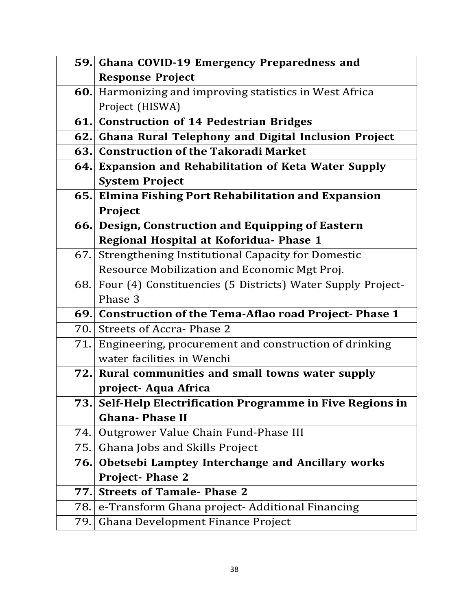|     | 59. Ghana COVID-19 Emergency Preparedness and               |  |
|-----|-------------------------------------------------------------|--|
|     | <b>Response Project</b>                                     |  |
| 60. | Harmonizing and improving statistics in West Africa         |  |
|     | Project (HISWA)                                             |  |
|     | 61. Construction of 14 Pedestrian Bridges                   |  |
|     | 62. Ghana Rural Telephony and Digital Inclusion Project     |  |
|     | 63. Construction of the Takoradi Market                     |  |
|     | 64. Expansion and Rehabilitation of Keta Water Supply       |  |
|     | <b>System Project</b>                                       |  |
| 65. | <b>Elmina Fishing Port Rehabilitation and Expansion</b>     |  |
|     | Project                                                     |  |
| 66. | Design, Construction and Equipping of Eastern               |  |
|     | Regional Hospital at Koforidua- Phase 1                     |  |
| 67. | <b>Strengthening Institutional Capacity for Domestic</b>    |  |
|     | Resource Mobilization and Economic Mgt Proj.                |  |
| 68. | Four (4) Constituencies (5 Districts) Water Supply Project- |  |
|     | Phase 3                                                     |  |
|     | 69. Construction of the Tema-Aflao road Project-Phase 1     |  |
| 70. | <b>Streets of Accra-Phase 2</b>                             |  |
| 71. | Engineering, procurement and construction of drinking       |  |
|     | water facilities in Wenchi                                  |  |
| 72. | Rural communities and small towns water supply              |  |
|     | project- Aqua Africa                                        |  |
|     | 73. Self-Help Electrification Programme in Five Regions in  |  |
|     | <b>Ghana-Phase II</b>                                       |  |
| 74. | Outgrower Value Chain Fund-Phase III                        |  |
| 75. | Ghana Jobs and Skills Project                               |  |
| 76. | Obetsebi Lamptey Interchange and Ancillary works            |  |
|     | <b>Project-Phase 2</b>                                      |  |
| 77. | <b>Streets of Tamale- Phase 2</b>                           |  |
| 78. | e-Transform Ghana project- Additional Financing             |  |
| 79. | Ghana Development Finance Project                           |  |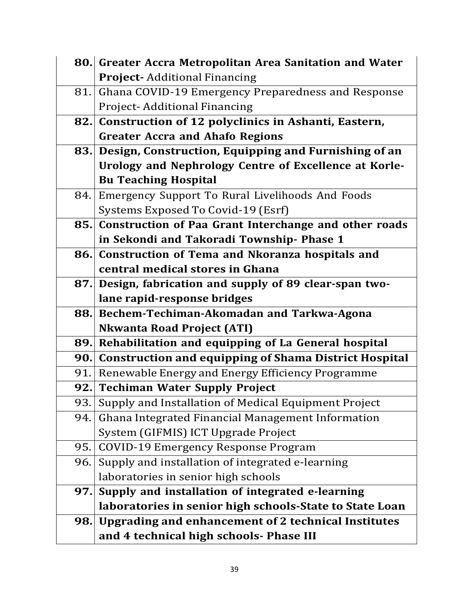|            | 80. Greater Accra Metropolitan Area Sanitation and Water     |  |  |
|------------|--------------------------------------------------------------|--|--|
|            | <b>Project-Additional Financing</b>                          |  |  |
| 81.        | Ghana COVID-19 Emergency Preparedness and Response           |  |  |
|            | <b>Project-Additional Financing</b>                          |  |  |
|            | 82. Construction of 12 polyclinics in Ashanti, Eastern,      |  |  |
|            | <b>Greater Accra and Ahafo Regions</b>                       |  |  |
|            | 83. Design, Construction, Equipping and Furnishing of an     |  |  |
|            | Urology and Nephrology Centre of Excellence at Korle-        |  |  |
|            | <b>Bu Teaching Hospital</b>                                  |  |  |
| 84.        | Emergency Support To Rural Livelihoods And Foods             |  |  |
|            | Systems Exposed To Covid-19 (Esrf)                           |  |  |
| 85.        | Construction of Paa Grant Interchange and other roads        |  |  |
|            | in Sekondi and Takoradi Township- Phase 1                    |  |  |
| 86.        | <b>Construction of Tema and Nkoranza hospitals and</b>       |  |  |
|            | central medical stores in Ghana                              |  |  |
|            | 87. Design, fabrication and supply of 89 clear-span two-     |  |  |
|            | lane rapid-response bridges                                  |  |  |
|            | 88. Bechem-Techiman-Akomadan and Tarkwa-Agona                |  |  |
|            | <b>Nkwanta Road Project (ATI)</b>                            |  |  |
| 89.        | Rehabilitation and equipping of La General hospital          |  |  |
| 90.        | <b>Construction and equipping of Shama District Hospital</b> |  |  |
| 91.        | Renewable Energy and Energy Efficiency Programme             |  |  |
| 92.1       | <b>Techiman Water Supply Project</b>                         |  |  |
|            | 93. Supply and Installation of Medical Equipment Project     |  |  |
| 94.        | Ghana Integrated Financial Management Information            |  |  |
|            | System (GIFMIS) ICT Upgrade Project                          |  |  |
| 95.        | <b>COVID-19 Emergency Response Program</b>                   |  |  |
| 96.        | Supply and installation of integrated e-learning             |  |  |
|            | laboratories in senior high schools                          |  |  |
| 97.        | Supply and installation of integrated e-learning             |  |  |
|            | laboratories in senior high schools-State to State Loan      |  |  |
| <b>98.</b> | Upgrading and enhancement of 2 technical Institutes          |  |  |
|            | and 4 technical high schools- Phase III                      |  |  |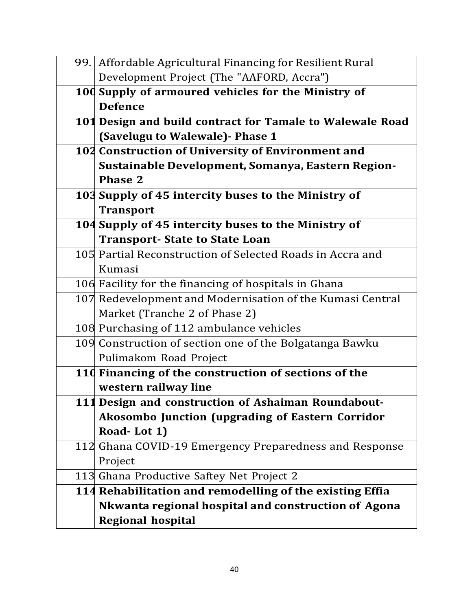| 99. Affordable Agricultural Financing for Resilient Rural |  |  |
|-----------------------------------------------------------|--|--|
| Development Project (The "AAFORD, Accra")                 |  |  |
| 100 Supply of armoured vehicles for the Ministry of       |  |  |
| <b>Defence</b>                                            |  |  |
| 101 Design and build contract for Tamale to Walewale Road |  |  |
| (Savelugu to Walewale) - Phase 1                          |  |  |
| 102 Construction of University of Environment and         |  |  |
| Sustainable Development, Somanya, Eastern Region-         |  |  |
| <b>Phase 2</b>                                            |  |  |
| 103 Supply of 45 intercity buses to the Ministry of       |  |  |
| <b>Transport</b>                                          |  |  |
| 104 Supply of 45 intercity buses to the Ministry of       |  |  |
| <b>Transport- State to State Loan</b>                     |  |  |
| 105 Partial Reconstruction of Selected Roads in Accra and |  |  |
| Kumasi                                                    |  |  |
| 106 Facility for the financing of hospitals in Ghana      |  |  |
| 107 Redevelopment and Modernisation of the Kumasi Central |  |  |
| Market (Tranche 2 of Phase 2)                             |  |  |
| 108 Purchasing of 112 ambulance vehicles                  |  |  |
| 109 Construction of section one of the Bolgatanga Bawku   |  |  |
| Pulimakom Road Project                                    |  |  |
| 110 Financing of the construction of sections of the      |  |  |
| western railway line                                      |  |  |
| 111 Design and construction of Ashaiman Roundabout-       |  |  |
| <b>Akosombo Junction (upgrading of Eastern Corridor</b>   |  |  |
| Road-Lot 1)                                               |  |  |
| 112 Ghana COVID-19 Emergency Preparedness and Response    |  |  |
| Project                                                   |  |  |
| 113 Ghana Productive Saftey Net Project 2                 |  |  |
| 114 Rehabilitation and remodelling of the existing Effia  |  |  |
| Nkwanta regional hospital and construction of Agona       |  |  |
| <b>Regional hospital</b>                                  |  |  |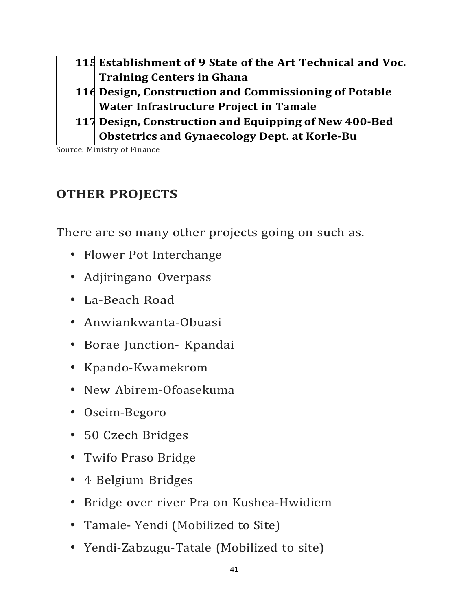| 115 Establishment of 9 State of the Art Technical and Voc. |  |
|------------------------------------------------------------|--|
| <b>Training Centers in Ghana</b>                           |  |
| 116 Design, Construction and Commissioning of Potable      |  |
| Water Infrastructure Project in Tamale                     |  |
| 117 Design, Construction and Equipping of New 400-Bed      |  |
| <b>Obstetrics and Gynaecology Dept. at Korle-Bu</b>        |  |

Source: Ministry of Finance

# **OTHER PROJECTS**

There are so many other projects going on such as.

- Flower Pot Interchange
- Adjiringano Overpass
- La-Beach Road
- Anwiankwanta-Obuasi
- Borae Junction- Kpandai
- Kpando-Kwamekrom
- New Abirem-Ofoasekuma
- Oseim-Begoro
- 50 Czech Bridges
- Twifo Praso Bridge
- 4 Belgium Bridges
- Bridge over river Pra on Kushea-Hwidiem
- Tamale- Yendi (Mobilized to Site)
- Yendi-Zabzugu-Tatale (Mobilized to site)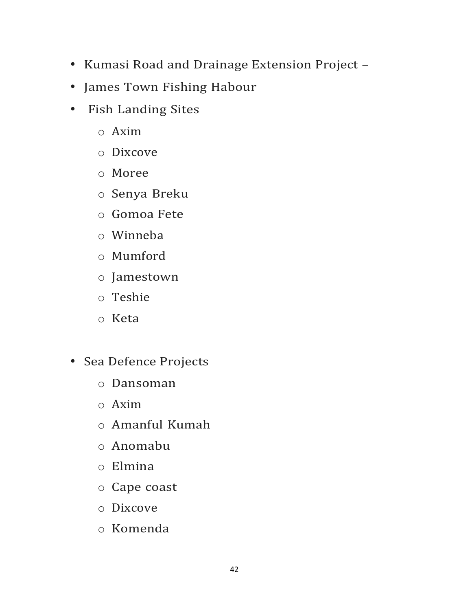- Kumasi Road and Drainage Extension Project –
- James Town Fishing Habour
- Fish Landing Sites
	- o Axim
	- o Dixcove
	- o Moree
	- o Senya Breku
	- o Gomoa Fete
	- o Winneba
	- o Mumford
	- o Jamestown
	- o Teshie
	- o Keta
- Sea Defence Projects
	- o Dansoman
	- o Axim
	- o Amanful Kumah
	- o Anomabu
	- o Elmina
	- o Cape coast
	- o Dixcove
	- o Komenda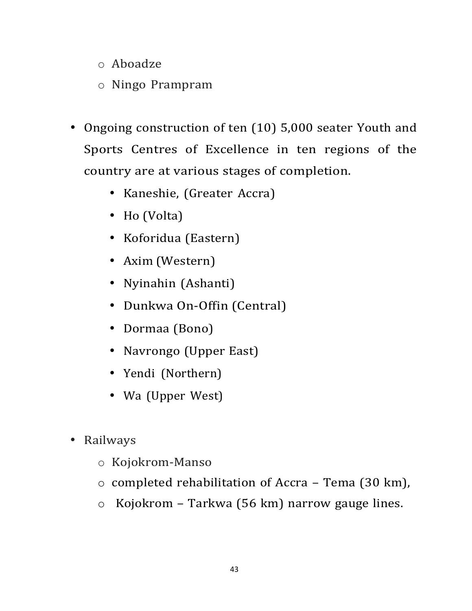- o Aboadze
- o Ningo Prampram
- Ongoing construction of ten (10) 5,000 seater Youth and Sports Centres of Excellence in ten regions of the country are at various stages of completion.
	- Kaneshie, (Greater Accra)
	- Ho (Volta)
	- Koforidua (Eastern)
	- Axim (Western)
	- Nyinahin (Ashanti)
	- Dunkwa On-Offin (Central)
	- Dormaa (Bono)
	- Navrongo (Upper East)
	- Yendi (Northern)
	- Wa (Upper West)
- Railways
	- o Kojokrom-Manso
	- o completed rehabilitation of Accra Tema (30 km),
	- o Kojokrom Tarkwa (56 km) narrow gauge lines.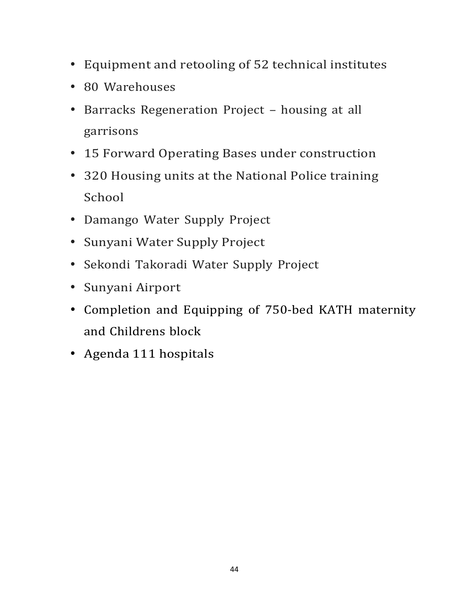- Equipment and retooling of 52 technical institutes
- 80 Warehouses
- Barracks Regeneration Project housing at all garrisons
- 15 Forward Operating Bases under construction
- 320 Housing units at the National Police training School
- Damango Water Supply Project
- Sunyani Water Supply Project
- Sekondi Takoradi Water Supply Project
- Sunyani Airport
- Completion and Equipping of 750-bed KATH maternity and Childrens block
- Agenda 111 hospitals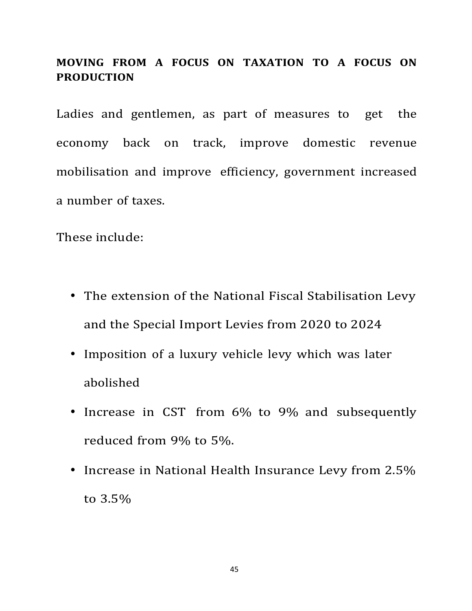## **MOVING FROM A FOCUS ON TAXATION TO A FOCUS ON PRODUCTION**

Ladies and gentlemen, as part of measures to get the economy back on track, improve domestic revenue mobilisation and improve efficiency, government increased a number of taxes.

These include:

- The extension of the National Fiscal Stabilisation Levy and the Special Import Levies from 2020 to 2024
- Imposition of a luxury vehicle levy which was later abolished
- Increase in CST from 6% to 9% and subsequently reduced from 9% to 5%.
- Increase in National Health Insurance Levy from 2.5% to 3.5%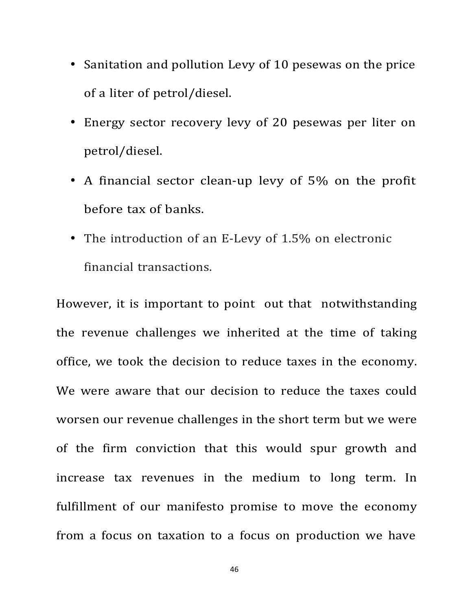- Sanitation and pollution Levy of 10 pesewas on the price of a liter of petrol/diesel.
- Energy sector recovery levy of 20 pesewas per liter on petrol/diesel.
- A financial sector clean-up levy of 5% on the profit before tax of banks.
- The introduction of an E-Levy of 1.5% on electronic financial transactions.

However, it is important to point out that notwithstanding the revenue challenges we inherited at the time of taking office, we took the decision to reduce taxes in the economy. We were aware that our decision to reduce the taxes could worsen our revenue challenges in the short term but we were of the firm conviction that this would spur growth and increase tax revenues in the medium to long term. In fulfillment of our manifesto promise to move the economy from a focus on taxation to a focus on production we have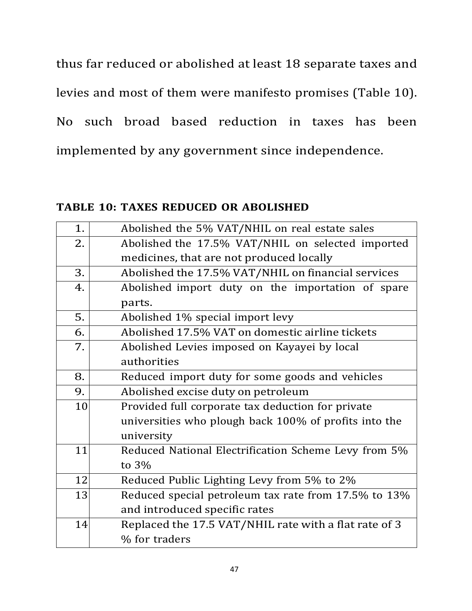thus far reduced or abolished at least 18 separate taxes and levies and most of them were manifesto promises (Table 10). No such broad based reduction in taxes has been implemented by any government since independence.

**TABLE 10: TAXES REDUCED OR ABOLISHED**

| Abolished the 5% VAT/NHIL on real estate sales              |  |  |
|-------------------------------------------------------------|--|--|
| Abolished the 17.5% VAT/NHIL on selected imported           |  |  |
| medicines, that are not produced locally                    |  |  |
| Abolished the 17.5% VAT/NHIL on financial services          |  |  |
| Abolished import duty on the importation of spare           |  |  |
| parts.                                                      |  |  |
| Abolished 1% special import levy                            |  |  |
| Abolished 17.5% VAT on domestic airline tickets             |  |  |
| Abolished Levies imposed on Kayayei by local                |  |  |
| authorities                                                 |  |  |
| Reduced import duty for some goods and vehicles             |  |  |
| Abolished excise duty on petroleum                          |  |  |
| 10<br>Provided full corporate tax deduction for private     |  |  |
| universities who plough back 100% of profits into the       |  |  |
| university                                                  |  |  |
| 11<br>Reduced National Electrification Scheme Levy from 5%  |  |  |
| to $3%$                                                     |  |  |
| 12<br>Reduced Public Lighting Levy from 5% to 2%            |  |  |
| 13<br>Reduced special petroleum tax rate from 17.5% to 13%  |  |  |
| and introduced specific rates                               |  |  |
| 14<br>Replaced the 17.5 VAT/NHIL rate with a flat rate of 3 |  |  |
| % for traders                                               |  |  |
|                                                             |  |  |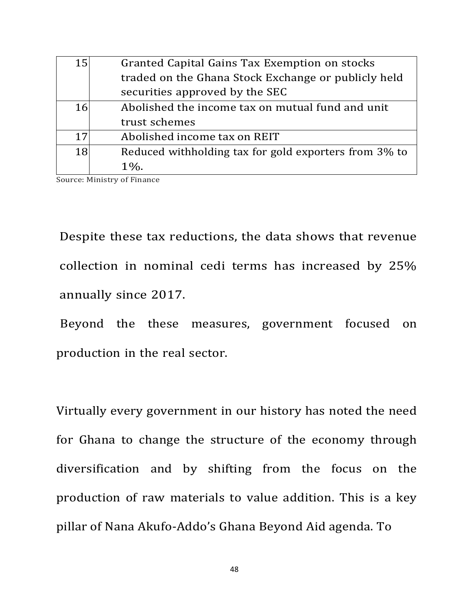| 15        | Granted Capital Gains Tax Exemption on stocks         |  |
|-----------|-------------------------------------------------------|--|
|           | traded on the Ghana Stock Exchange or publicly held   |  |
|           | securities approved by the SEC                        |  |
| 16        | Abolished the income tax on mutual fund and unit      |  |
|           | trust schemes                                         |  |
| 17        | Abolished income tax on REIT                          |  |
| <b>18</b> | Reduced withholding tax for gold exporters from 3% to |  |
|           | $1\%$ .                                               |  |

Source: Ministry of Finance

Despite these tax reductions, the data shows that revenue collection in nominal cedi terms has increased by 25% annually since 2017.

Beyond the these measures, government focused on production in the real sector.

Virtually every government in our history has noted the need for Ghana to change the structure of the economy through diversification and by shifting from the focus on the production of raw materials to value addition. This is a key pillar of Nana Akufo-Addo's Ghana Beyond Aid agenda. To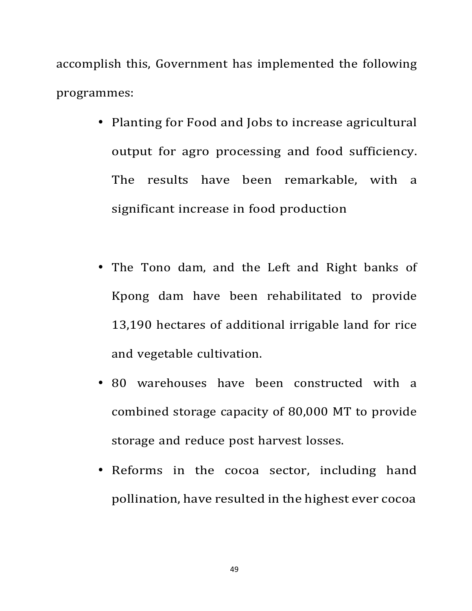accomplish this, Government has implemented the following programmes:

- Planting for Food and Jobs to increase agricultural output for agro processing and food sufficiency. The results have been remarkable, with a significant increase in food production
- The Tono dam, and the Left and Right banks of Kpong dam have been rehabilitated to provide 13,190 hectares of additional irrigable land for rice and vegetable cultivation.
- 80 warehouses have been constructed with a combined storage capacity of 80,000 MT to provide storage and reduce post harvest losses.
- Reforms in the cocoa sector, including hand pollination, have resulted in the highest ever cocoa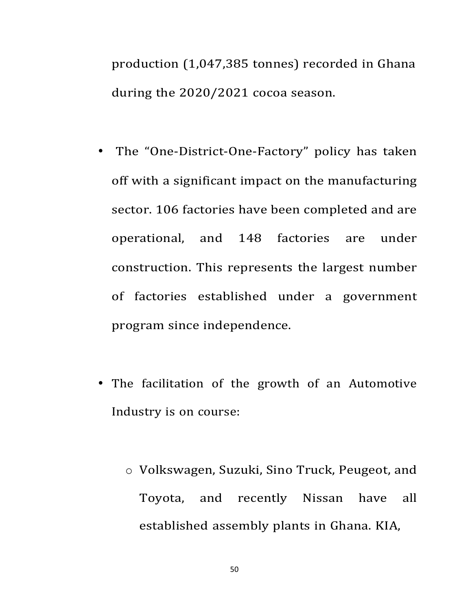production (1,047,385 tonnes) recorded in Ghana during the 2020/2021 cocoa season.

- The "One-District-One-Factory" policy has taken off with a significant impact on the manufacturing sector. 106 factories have been completed and are operational, and 148 factories are under construction. This represents the largest number of factories established under a government program since independence.
- The facilitation of the growth of an Automotive Industry is on course:
	- o Volkswagen, Suzuki, Sino Truck, Peugeot, and Toyota, and recently Nissan have all established assembly plants in Ghana. KIA,

50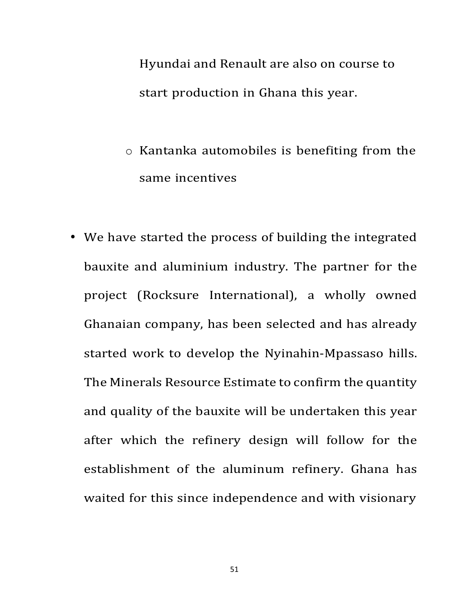Hyundai and Renault are also on course to start production in Ghana this year.

- o Kantanka automobiles is benefiting from the same incentives
- We have started the process of building the integrated bauxite and aluminium industry. The partner for the project (Rocksure International), a wholly owned Ghanaian company, has been selected and has already started work to develop the Nyinahin-Mpassaso hills. The Minerals Resource Estimate to confirm the quantity and quality of the bauxite will be undertaken this year after which the refinery design will follow for the establishment of the aluminum refinery. Ghana has waited for this since independence and with visionary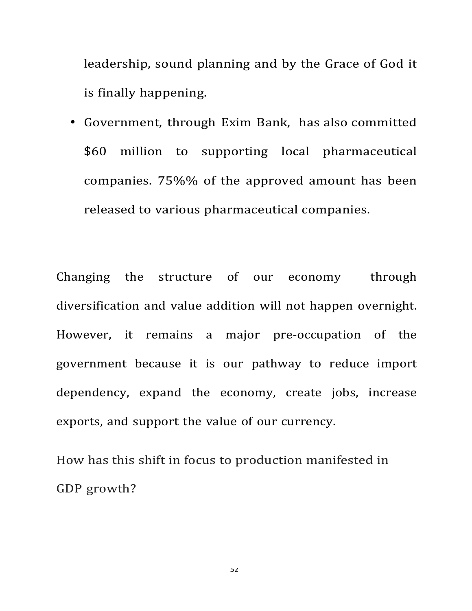leadership, sound planning and by the Grace of God it is finally happening.

• Government, through Exim Bank, has also committed \$60 million to supporting local pharmaceutical companies. 75%% of the approved amount has been released to various pharmaceutical companies.

Changing the structure of our economy through diversification and value addition will not happen overnight. However, it remains a major pre-occupation of the government because it is our pathway to reduce import dependency, expand the economy, create jobs, increase exports, and support the value of our currency.

How has this shift in focus to production manifested in GDP growth?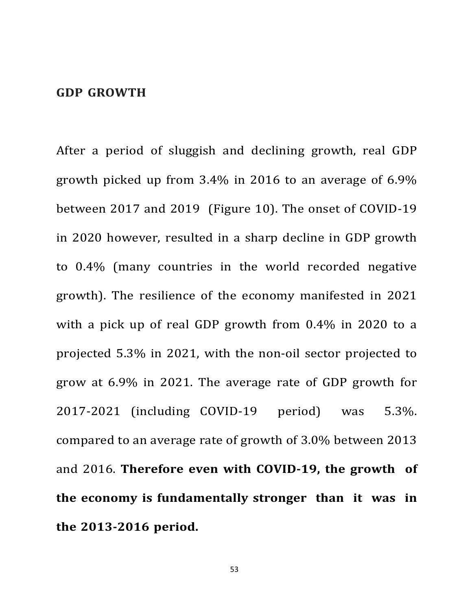### **GDP GROWTH**

After a period of sluggish and declining growth, real GDP growth picked up from  $3.4\%$  in 2016 to an average of 6.9% between 2017 and 2019 (Figure 10). The onset of COVID-19 in 2020 however, resulted in a sharp decline in GDP growth to 0.4% (many countries in the world recorded negative growth). The resilience of the economy manifested in 2021 with a pick up of real GDP growth from  $0.4\%$  in 2020 to a projected 5.3% in 2021, with the non-oil sector projected to grow at 6.9% in 2021. The average rate of GDP growth for 2017-2021 (including COVID-19 period) was 5.3%. compared to an average rate of growth of 3.0% between 2013 and 2016. **Therefore even with COVID-19, the growth of the economy is fundamentally stronger than it was in the 2013-2016 period.**

53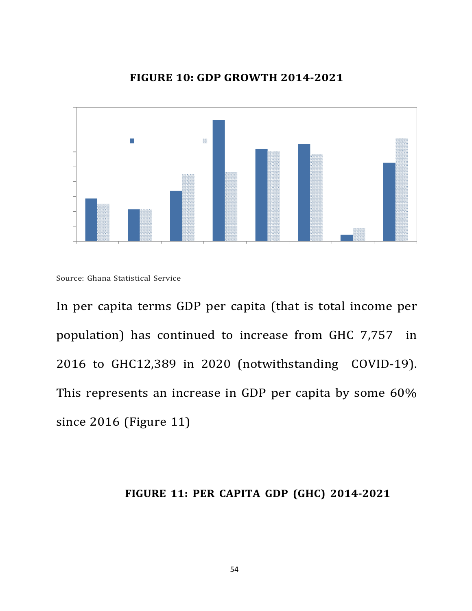

#### **FIGURE 10: GDP GROWTH 2014-2021**

In per capita terms GDP per capita (that is total income per population) has continued to increase from GHC 7,757 in 2016 to GHC12,389 in 2020 (notwithstanding COVID-19). This represents an increase in GDP per capita by some  $60\%$ since 2016 (Figure 11)

### **FIGURE 11: PER CAPITA GDP (GHC) 2014-2021**

Source: Ghana Statistical Service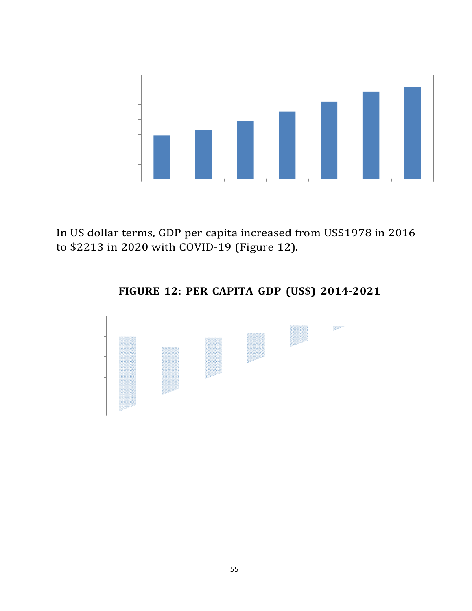

In US dollar terms, GDP per capita increased from US\$1978 in 2016 to \$2213 in 2020 with COVID-19 (Figure 12).

## **FIGURE 12: PER CAPITA GDP (US\$) 2014-2021**

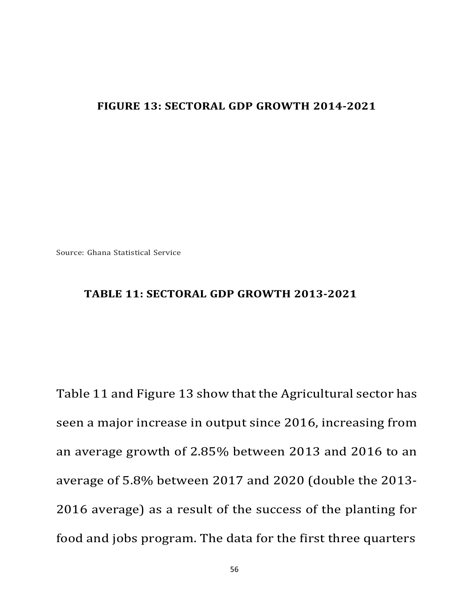### **FIGURE 13: SECTORAL GDP GROWTH 2014-2021**

Source: Ghana Statistical Service

### **TABLE 11: SECTORAL GDP GROWTH 2013-2021**

Table 11 and Figure 13 show that the Agricultural sector has seen a major increase in output since 2016, increasing from an average growth of 2.85% between 2013 and 2016 to an average of 5.8% between 2017 and 2020 (double the 2013-2016 average) as a result of the success of the planting for food and jobs program. The data for the first three quarters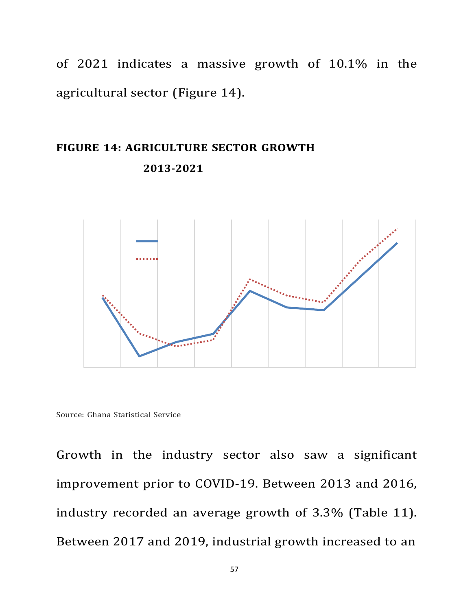of 2021 indicates a massive growth of 10.1% in the agricultural sector (Figure 14).

# **FIGURE 14: AGRICULTURE SECTOR GROWTH 2013-2021**



Source: Ghana Statistical Service

Growth in the industry sector also saw a significant improvement prior to COVID-19. Between 2013 and 2016, industry recorded an average growth of 3.3% (Table 11). Between 2017 and 2019, industrial growth increased to an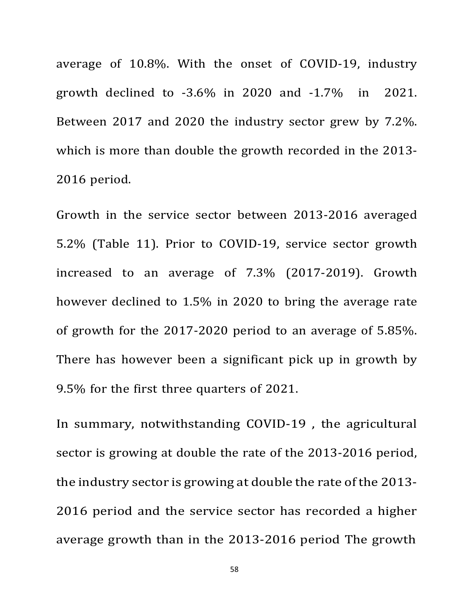average of 10.8%. With the onset of COVID-19, industry growth declined to  $-3.6\%$  in 2020 and  $-1.7\%$  in 2021. Between 2017 and 2020 the industry sector grew by 7.2%. which is more than double the growth recorded in the 2013-2016 period.

Growth in the service sector between 2013-2016 averaged 5.2% (Table 11). Prior to COVID-19, service sector growth increased to an average of 7.3% (2017-2019). Growth however declined to 1.5% in 2020 to bring the average rate of growth for the  $2017-2020$  period to an average of  $5.85\%$ . There has however been a significant pick up in growth by 9.5% for the first three quarters of 2021.

In summary, notwithstanding COVID-19, the agricultural sector is growing at double the rate of the 2013-2016 period, the industry sector is growing at double the rate of the 2013- 2016 period and the service sector has recorded a higher average growth than in the 2013-2016 period The growth

58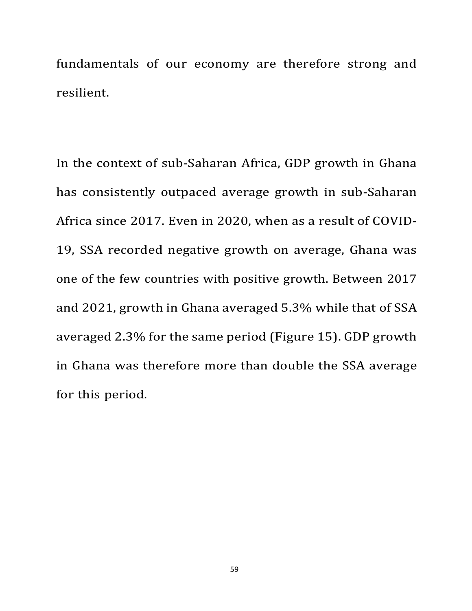fundamentals of our economy are therefore strong and resilient.

In the context of sub-Saharan Africa, GDP growth in Ghana has consistently outpaced average growth in sub-Saharan Africa since 2017. Even in 2020, when as a result of COVID-19, SSA recorded negative growth on average, Ghana was one of the few countries with positive growth. Between 2017 and 2021, growth in Ghana averaged 5.3% while that of SSA averaged 2.3% for the same period (Figure 15). GDP growth in Ghana was therefore more than double the SSA average for this period.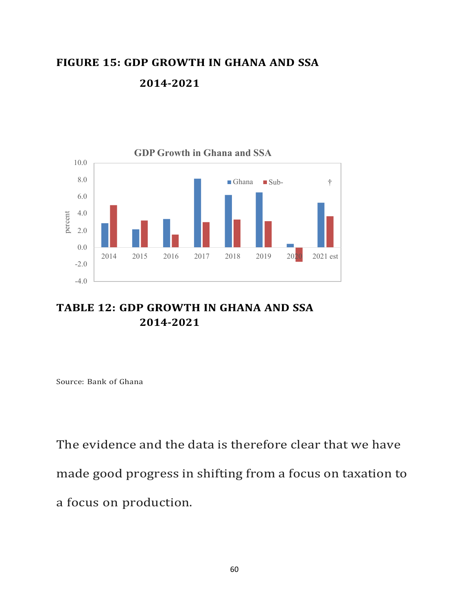# **FIGURE 15: GDP GROWTH IN GHANA AND SSA 2014-2021**



### **TABLE 12: GDP GROWTH IN GHANA AND SSA 2014-2021**

Source: Bank of Ghana

The evidence and the data is therefore clear that we have made good progress in shifting from a focus on taxation to a focus on production.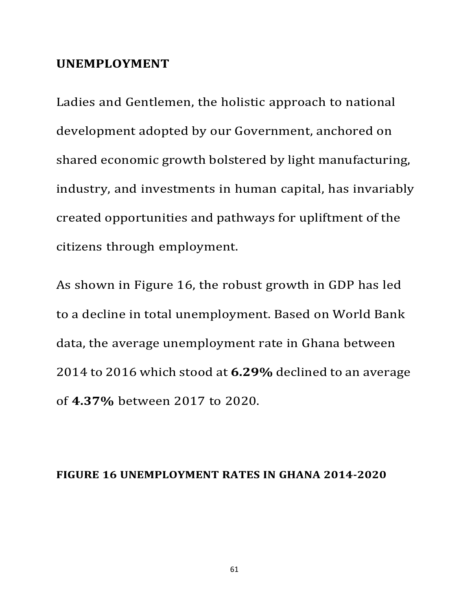### **UNEMPLOYMENT**

Ladies and Gentlemen, the holistic approach to national development adopted by our Government, anchored on shared economic growth bolstered by light manufacturing, industry, and investments in human capital, has invariably created opportunities and pathways for upliftment of the citizens through employment.

As shown in Figure 16, the robust growth in GDP has led to a decline in total unemployment. Based on World Bank data, the average unemployment rate in Ghana between 2014 to 2016 which stood at **6.29%** declined to an average of **4.37%** between 2017 to 2020.

#### **FIGURE 16 UNEMPLOYMENT RATES IN GHANA 2014-2020**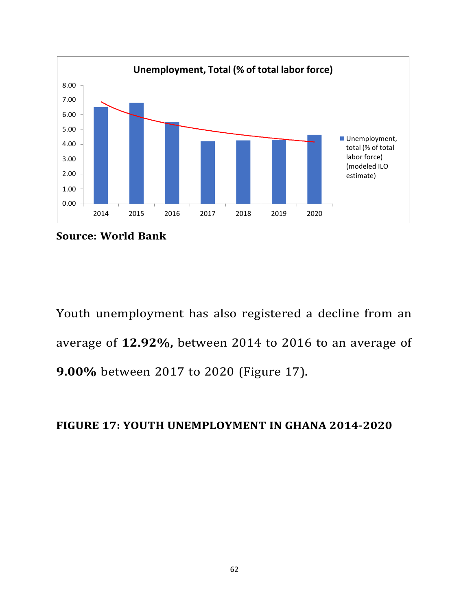

**Source: World Bank**

Youth unemployment has also registered a decline from an average of 12.92%, between 2014 to 2016 to an average of **9.00%** between 2017 to 2020 (Figure 17).

### **FIGURE 17: YOUTH UNEMPLOYMENT IN GHANA 2014-2020**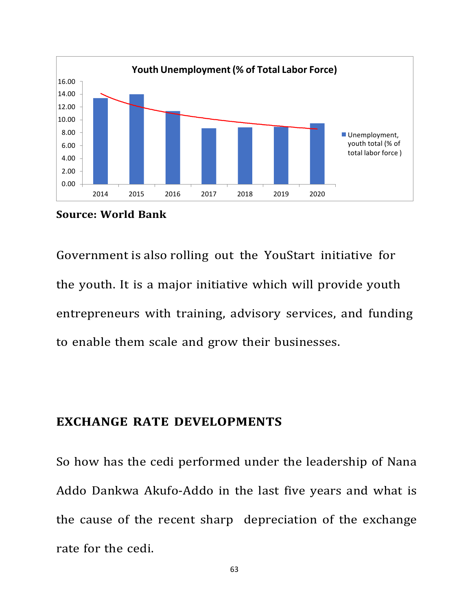

**Source: World Bank**

Government is also rolling out the YouStart initiative for the youth. It is a major initiative which will provide youth entrepreneurs with training, advisory services, and funding to enable them scale and grow their businesses.

### **EXCHANGE RATE DEVELOPMENTS**

So how has the cedi performed under the leadership of Nana Addo Dankwa Akufo-Addo in the last five years and what is the cause of the recent sharp depreciation of the exchange rate for the cedi.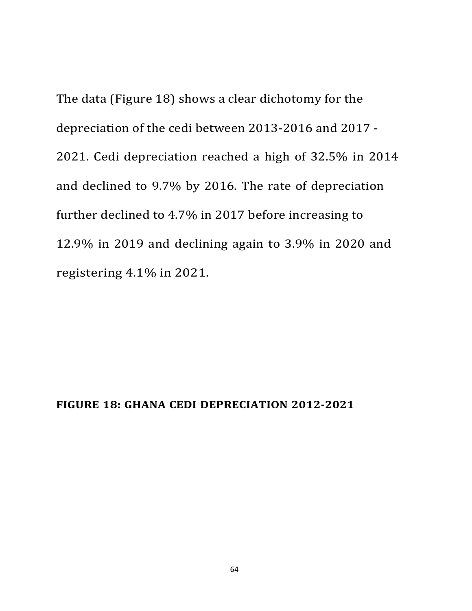The data (Figure 18) shows a clear dichotomy for the depreciation of the cedi between 2013-2016 and 2017 -2021. Cedi depreciation reached a high of 32.5% in 2014 and declined to 9.7% by 2016. The rate of depreciation further declined to 4.7% in 2017 before increasing to 12.9% in 2019 and declining again to 3.9% in 2020 and registering 4.1% in 2021.

### **FIGURE 18: GHANA CEDI DEPRECIATION 2012-2021**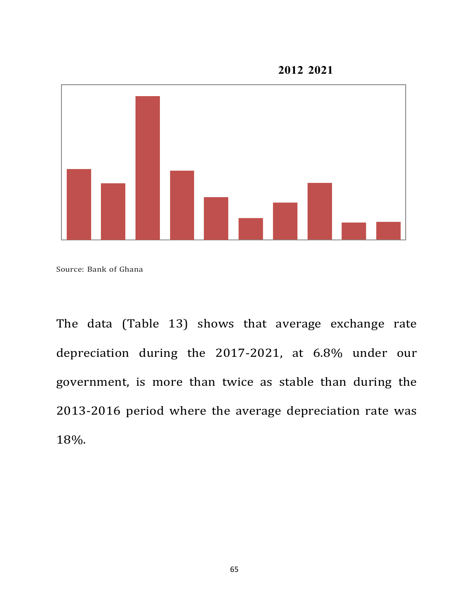**2012 <sup>2021</sup>**



Source: Bank of Ghana

The data (Table 13) shows that average exchange rate depreciation during the 2017-2021, at 6.8% under our government, is more than twice as stable than during the 2013-2016 period where the average depreciation rate was 18%.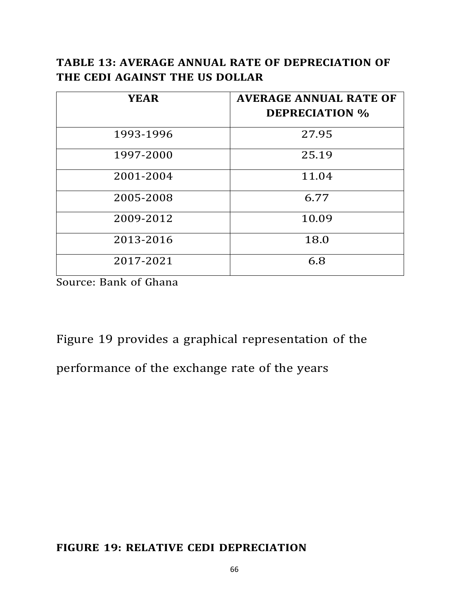### **TABLE 13: AVERAGE ANNUAL RATE OF DEPRECIATION OF THE CEDI AGAINST THE US DOLLAR**

| <b>YEAR</b> | <b>AVERAGE ANNUAL RATE OF</b><br><b>DEPRECIATION %</b> |
|-------------|--------------------------------------------------------|
| 1993-1996   | 27.95                                                  |
| 1997-2000   | 25.19                                                  |
| 2001-2004   | 11.04                                                  |
| 2005-2008   | 6.77                                                   |
| 2009-2012   | 10.09                                                  |
| 2013-2016   | 18.0                                                   |
| 2017-2021   | 6.8                                                    |

Source: Bank of Ghana

Figure 19 provides a graphical representation of the performance of the exchange rate of the years

### **FIGURE 19: RELATIVE CEDI DEPRECIATION**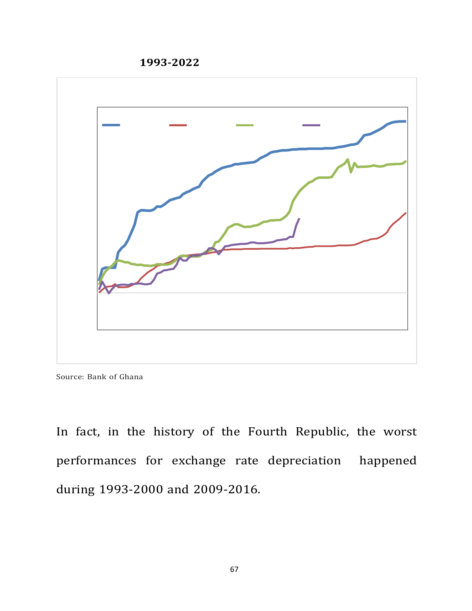**1993-2022**



Source: Bank of Ghana

In fact, in the history of the Fourth Republic, the worst performances for exchange rate depreciation happened during 1993-2000 and 2009-2016.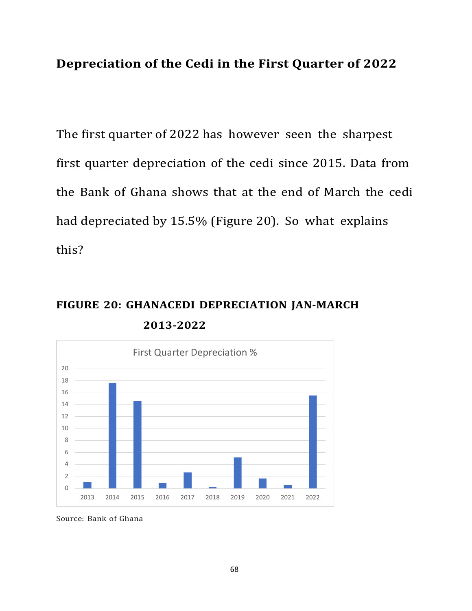## **Depreciation of the Cedi in the First Quarter of 2022**

The first quarter of 2022 has however seen the sharpest first quarter depreciation of the cedi since 2015. Data from the Bank of Ghana shows that at the end of March the cedi had depreciated by  $15.5\%$  (Figure 20). So what explains this?

# **FIGURE 20: GHANACEDI DEPRECIATION JAN-MARCH 2013-2022**



Source: Bank of Ghana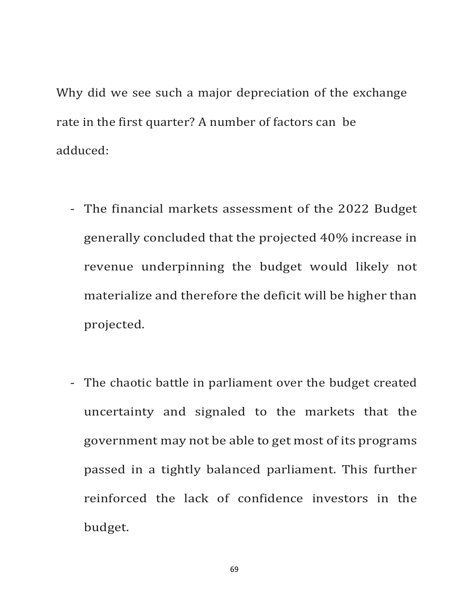Why did we see such a major depreciation of the exchange rate in the first quarter? A number of factors can be adduced:

- The financial markets assessment of the 2022 Budget generally concluded that the projected 40% increase in revenue underpinning the budget would likely not materialize and therefore the deficit will be higher than projected.
- The chaotic battle in parliament over the budget created uncertainty and signaled to the markets that the government may not be able to get most of its programs passed in a tightly balanced parliament. This further reinforced the lack of confidence investors in the budget.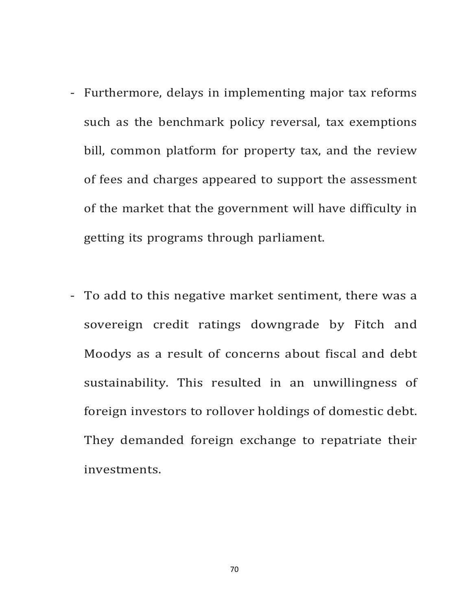- Furthermore, delays in implementing major tax reforms such as the benchmark policy reversal, tax exemptions bill, common platform for property tax, and the review of fees and charges appeared to support the assessment of the market that the government will have difficulty in getting its programs through parliament.
- To add to this negative market sentiment, there was a sovereign credit ratings downgrade by Fitch and Moodys as a result of concerns about fiscal and debt sustainability. This resulted in an unwillingness of foreign investors to rollover holdings of domestic debt. They demanded foreign exchange to repatriate their investments.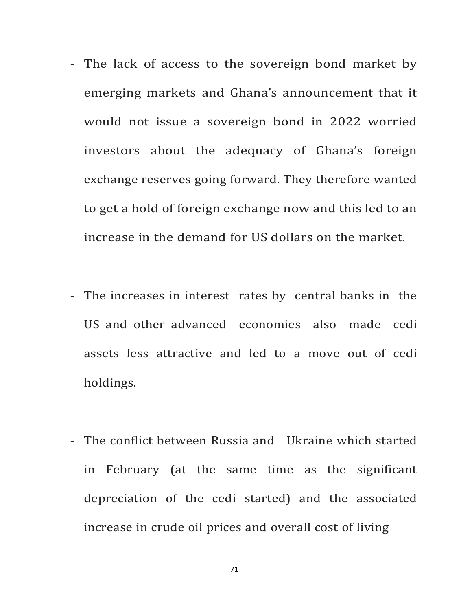- The lack of access to the sovereign bond market by emerging markets and Ghana's announcement that it would not issue a sovereign bond in 2022 worried investors about the adequacy of Ghana's foreign exchange reserves going forward. They therefore wanted to get a hold of foreign exchange now and this led to an increase in the demand for US dollars on the market.
- The increases in interest rates by central banks in the US and other advanced economies also made cedi assets less attractive and led to a move out of cedi holdings.
- The conflict between Russia and Ukraine which started in February (at the same time as the significant depreciation of the cedi started) and the associated increase in crude oil prices and overall cost of living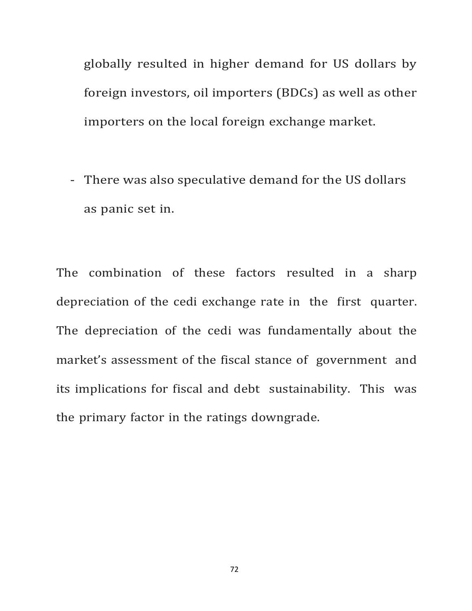globally resulted in higher demand for US dollars by foreign investors, oil importers (BDCs) as well as other importers on the local foreign exchange market.

- There was also speculative demand for the US dollars as panic set in.

The combination of these factors resulted in a sharp depreciation of the cedi exchange rate in the first quarter. The depreciation of the cedi was fundamentally about the market's assessment of the fiscal stance of government and its implications for fiscal and debt sustainability. This was the primary factor in the ratings downgrade.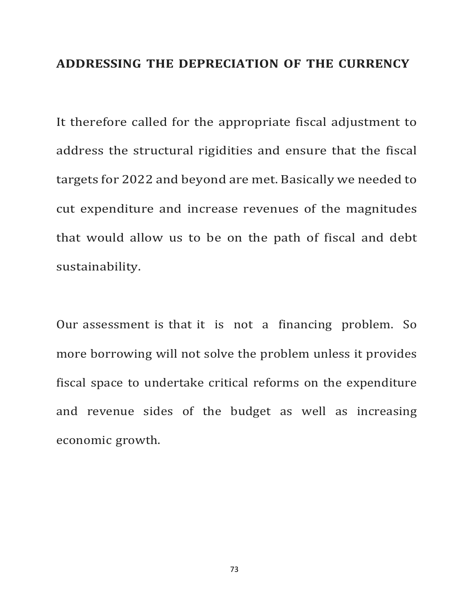#### **ADDRESSING THE DEPRECIATION OF THE CURRENCY**

It therefore called for the appropriate fiscal adjustment to address the structural rigidities and ensure that the fiscal targets for 2022 and beyond are met. Basically we needed to cut expenditure and increase revenues of the magnitudes that would allow us to be on the path of fiscal and debt sustainability.

Our assessment is that it is not a financing problem. So more borrowing will not solve the problem unless it provides fiscal space to undertake critical reforms on the expenditure and revenue sides of the budget as well as increasing economic growth.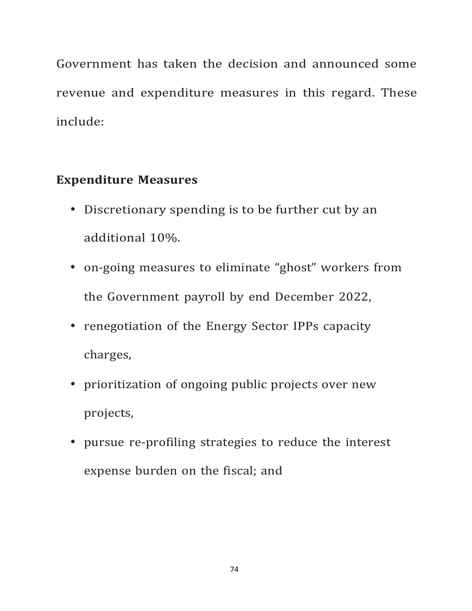Government has taken the decision and announced some revenue and expenditure measures in this regard. These include:

## **Expenditure Measures**

- Discretionary spending is to be further cut by an additional 10%.
- on-going measures to eliminate "ghost" workers from the Government payroll by end December 2022,
- renegotiation of the Energy Sector IPPs capacity charges,
- prioritization of ongoing public projects over new projects,
- pursue re-profiling strategies to reduce the interest expense burden on the fiscal; and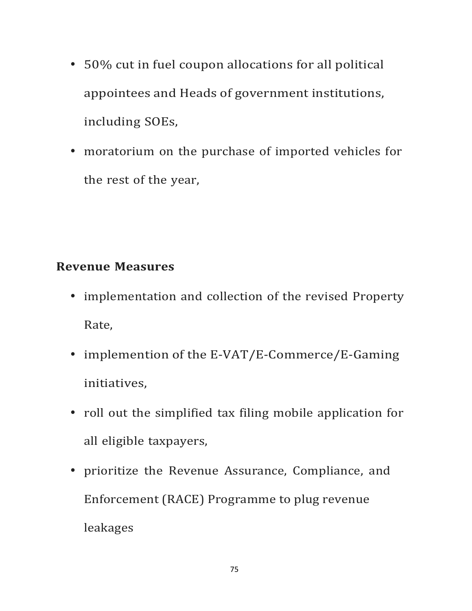- 50% cut in fuel coupon allocations for all political appointees and Heads of government institutions, including SOEs,
- moratorium on the purchase of imported vehicles for the rest of the year,

### **Revenue Measures**

- implementation and collection of the revised Property Rate,
- implemention of the E-VAT/E-Commerce/E-Gaming initiatives,
- roll out the simplified tax filing mobile application for all eligible taxpayers,
- prioritize the Revenue Assurance, Compliance, and Enforcement (RACE) Programme to plug revenue leakages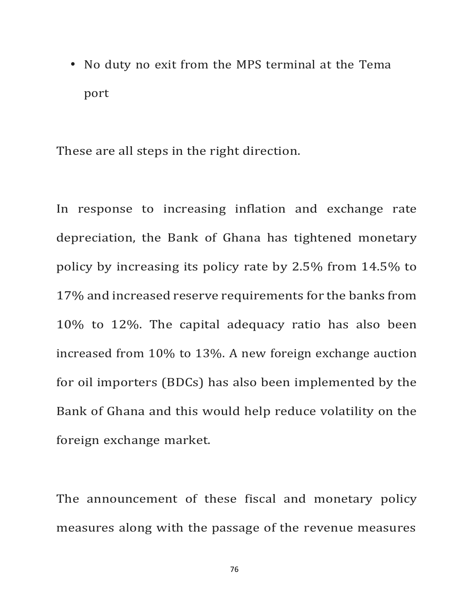• No duty no exit from the MPS terminal at the Tema port

These are all steps in the right direction.

In response to increasing inflation and exchange rate depreciation, the Bank of Ghana has tightened monetary policy by increasing its policy rate by  $2.5\%$  from  $14.5\%$  to 17% and increased reserve requirements for the banks from 10% to 12%. The capital adequacy ratio has also been increased from  $10\%$  to  $13\%$ . A new foreign exchange auction for oil importers (BDCs) has also been implemented by the Bank of Ghana and this would help reduce volatility on the foreign exchange market.

The announcement of these fiscal and monetary policy measures along with the passage of the revenue measures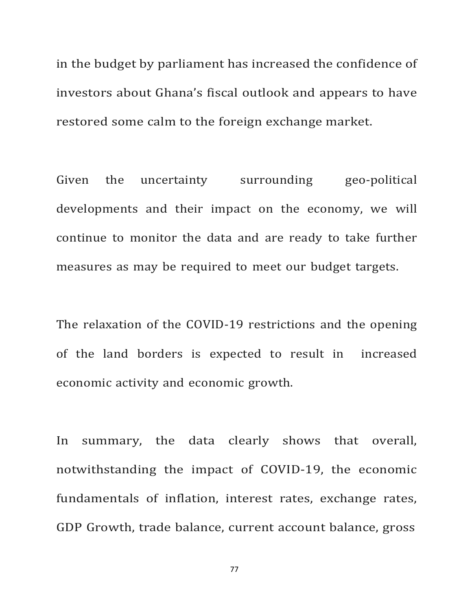in the budget by parliament has increased the confidence of investors about Ghana's fiscal outlook and appears to have restored some calm to the foreign exchange market.

Given the uncertainty surrounding geo-political developments and their impact on the economy, we will continue to monitor the data and are ready to take further measures as may be required to meet our budget targets.

The relaxation of the COVID-19 restrictions and the opening of the land borders is expected to result in increased economic activity and economic growth.

In summary, the data clearly shows that overall, notwithstanding the impact of COVID-19, the economic fundamentals of inflation, interest rates, exchange rates, GDP Growth, trade balance, current account balance, gross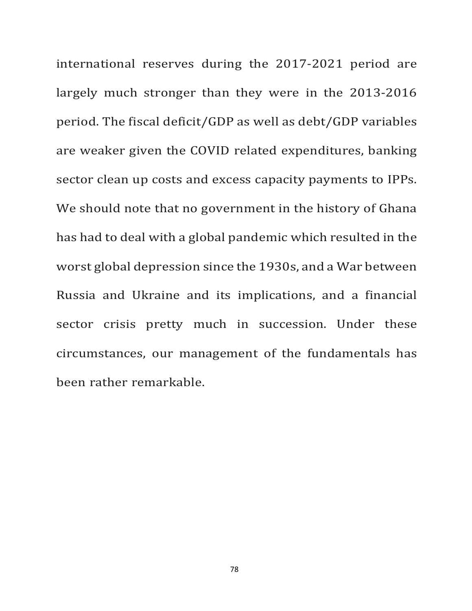international reserves during the 2017-2021 period are largely much stronger than they were in the 2013-2016 period. The fiscal deficit/GDP as well as debt/GDP variables are weaker given the COVID related expenditures, banking sector clean up costs and excess capacity payments to IPPs. We should note that no government in the history of Ghana has had to deal with a global pandemic which resulted in the worst global depression since the 1930s, and a War between Russia and Ukraine and its implications, and a financial sector crisis pretty much in succession. Under these circumstances, our management of the fundamentals has been rather remarkable.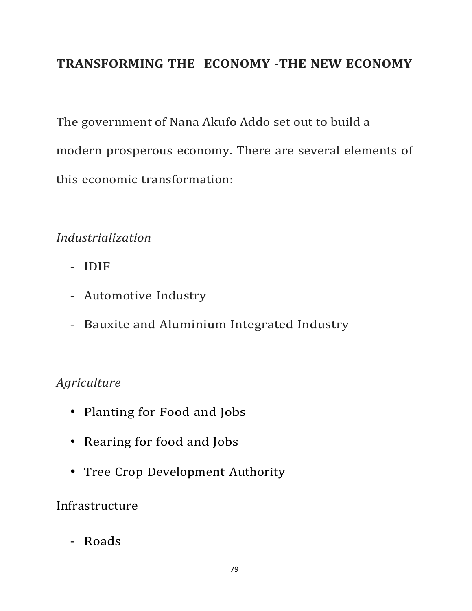## **TRANSFORMING THE ECONOMY -THE NEW ECONOMY**

The government of Nana Akufo Addo set out to build a modern prosperous economy. There are several elements of this economic transformation:

### *Industrialization*

- IDIF
- Automotive Industry
- Bauxite and Aluminium Integrated Industry

## *Agriculture*

- Planting for Food and Jobs
- Rearing for food and Jobs
- Tree Crop Development Authority

## Infrastructure

- Roads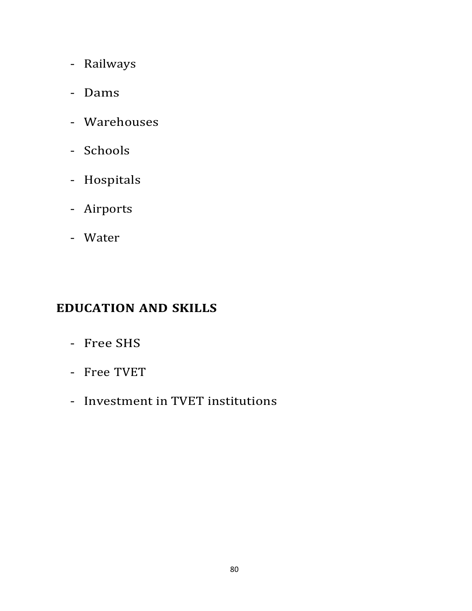- Railways
- Dams
- Warehouses
- Schools
- Hospitals
- Airports
- Water

## **EDUCATION AND SKILLS**

- Free SHS
- Free TVET
- Investment in TVET institutions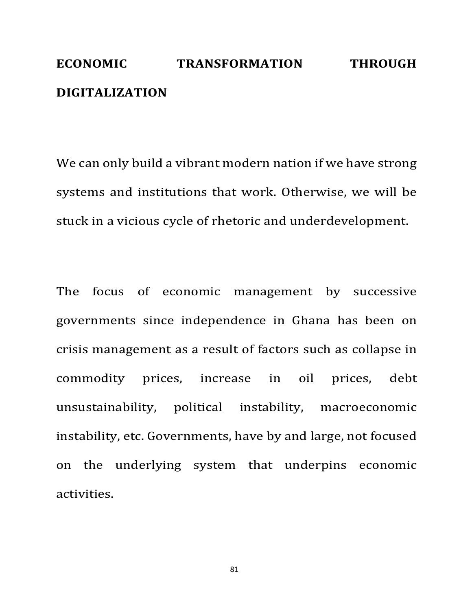## **ECONOMIC TRANSFORMATION THROUGH DIGITALIZATION**

We can only build a vibrant modern nation if we have strong systems and institutions that work. Otherwise, we will be stuck in a vicious cycle of rhetoric and underdevelopment.

The focus of economic management by successive governments since independence in Ghana has been on crisis management as a result of factors such as collapse in commodity prices, increase in oil prices, debt unsustainability, political instability, macroeconomic instability, etc. Governments, have by and large, not focused on the underlying system that underpins economic activities.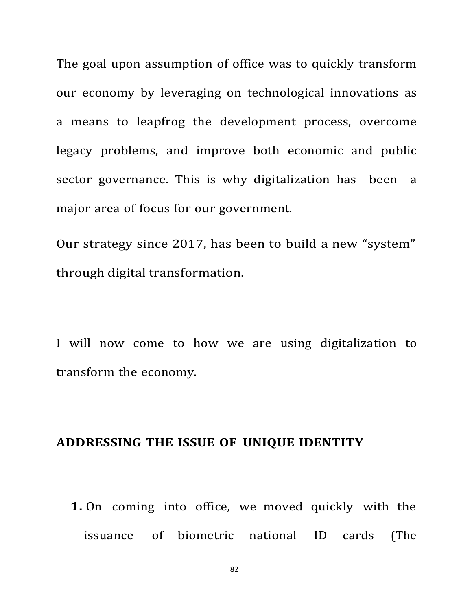The goal upon assumption of office was to quickly transform our economy by leveraging on technological innovations as a means to leapfrog the development process, overcome legacy problems, and improve both economic and public sector governance. This is why digitalization has been a major area of focus for our government.

Our strategy since 2017, has been to build a new "system" through digital transformation.

I will now come to how we are using digitalization to transform the economy.

#### **ADDRESSING THE ISSUE OF UNIQUE IDENTITY**

**1.** On coming into office, we moved quickly with the issuance of biometric national ID cards (The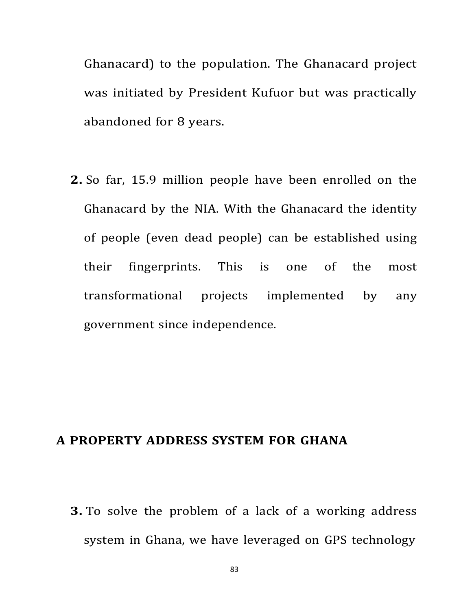Ghanacard) to the population. The Ghanacard project was initiated by President Kufuor but was practically abandoned for 8 years.

**2.** So far, 15.9 million people have been enrolled on the Ghanacard by the NIA. With the Ghanacard the identity of people (even dead people) can be established using their fingerprints. This is one of the most transformational projects implemented by any government since independence.

#### **A PROPERTY ADDRESS SYSTEM FOR GHANA**

**3.** To solve the problem of a lack of a working address system in Ghana, we have leveraged on GPS technology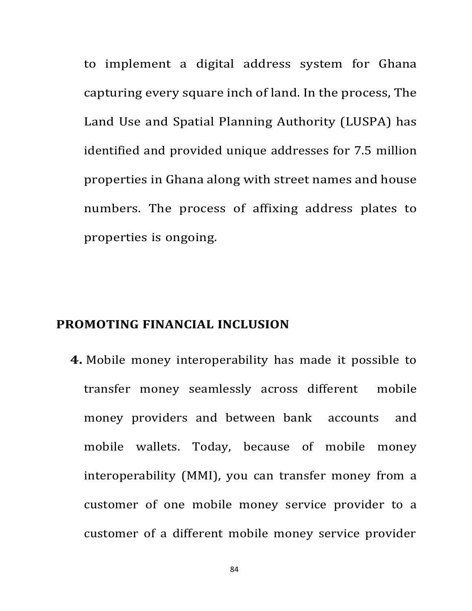to implement a digital address system for Ghana capturing every square inch of land. In the process, The Land Use and Spatial Planning Authority (LUSPA) has identified and provided unique addresses for 7.5 million properties in Ghana along with street names and house numbers. The process of affixing address plates to properties is ongoing.

#### **PROMOTING FINANCIAL INCLUSION**

**4.** Mobile money interoperability has made it possible to transfer money seamlessly across different mobile money providers and between bank accounts and mobile wallets. Today, because of mobile money interoperability (MMI), you can transfer money from a customer of one mobile money service provider to a customer of a different mobile money service provider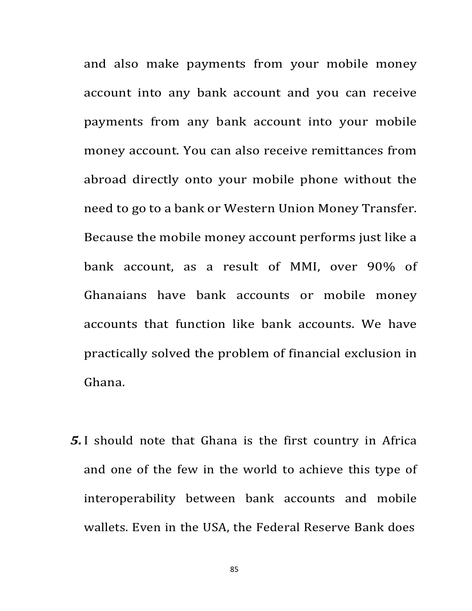and also make payments from your mobile money account into any bank account and you can receive payments from any bank account into your mobile money account. You can also receive remittances from abroad directly onto your mobile phone without the need to go to a bank or Western Union Money Transfer. Because the mobile money account performs just like a bank account, as a result of MMI, over 90% of Ghanaians have bank accounts or mobile money accounts that function like bank accounts. We have practically solved the problem of financial exclusion in Ghana.

*5.*I should note that Ghana is the first country in Africa and one of the few in the world to achieve this type of interoperability between bank accounts and mobile wallets. Even in the USA, the Federal Reserve Bank does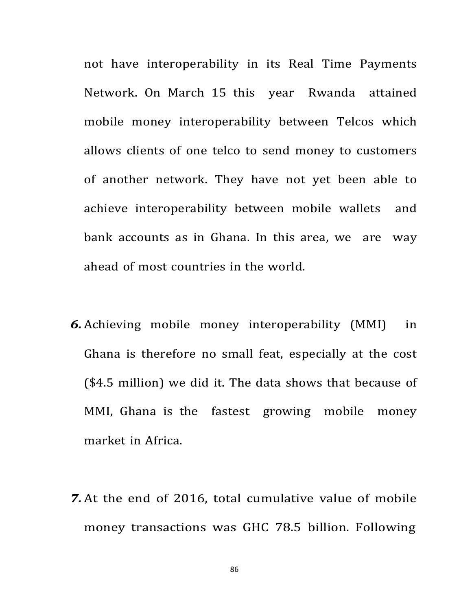not have interoperability in its Real Time Payments Network. On March 15 this year Rwanda attained mobile money interoperability between Telcos which allows clients of one telco to send money to customers of another network. They have not yet been able to achieve interoperability between mobile wallets and bank accounts as in Ghana. In this area, we are way ahead of most countries in the world.

- **6.** Achieving mobile money interoperability (MMI) in Ghana is therefore no small feat, especially at the cost (\$4.5 million) we did it. The data shows that because of MMI, Ghana is the fastest growing mobile money market in Africa.
- **7.** At the end of 2016, total cumulative value of mobile money transactions was GHC 78.5 billion. Following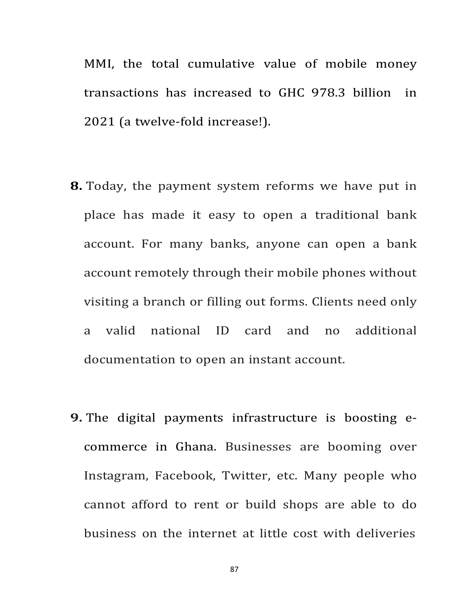MMI, the total cumulative value of mobile money transactions has increased to GHC 978.3 billion in 2021 (a twelve-fold increase!).

- **8.** Today, the payment system reforms we have put in place has made it easy to open a traditional bank account. For many banks, anyone can open a bank account remotely through their mobile phones without visiting a branch or filling out forms. Clients need only a valid national ID card and no additional documentation to open an instant account.
- **9.** The digital payments infrastructure is boosting ecommerce in Ghana. Businesses are booming over Instagram, Facebook, Twitter, etc. Many people who cannot afford to rent or build shops are able to do business on the internet at little cost with deliveries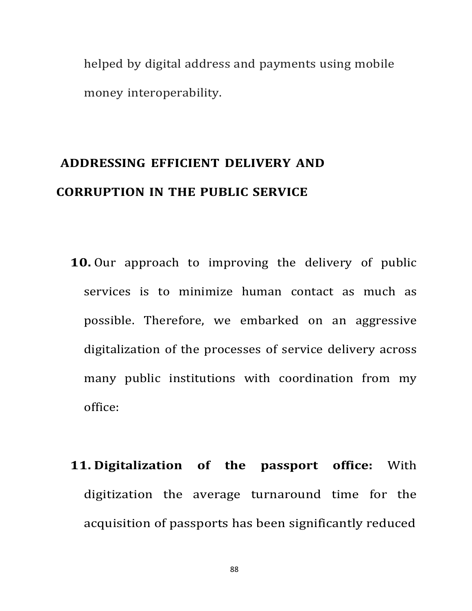helped by digital address and payments using mobile money interoperability.

## **ADDRESSING EFFICIENT DELIVERY AND CORRUPTION IN THE PUBLIC SERVICE**

- **10.** Our approach to improving the delivery of public services is to minimize human contact as much as possible. Therefore, we embarked on an aggressive digitalization of the processes of service delivery across many public institutions with coordination from my office:
- **11. Digitalization of the passport office:** With digitization the average turnaround time for the acquisition of passports has been significantly reduced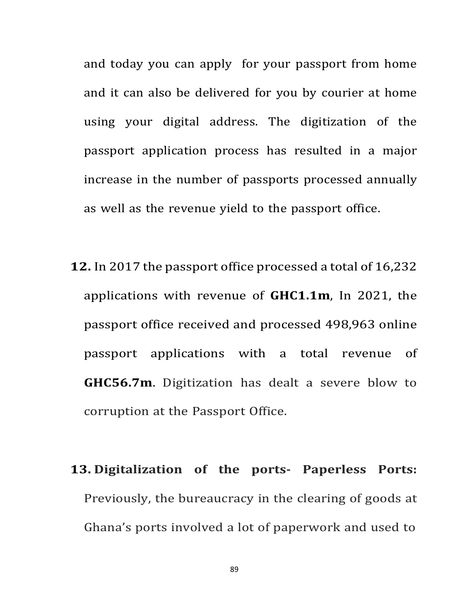and today you can apply for your passport from home and it can also be delivered for you by courier at home using your digital address. The digitization of the passport application process has resulted in a major increase in the number of passports processed annually as well as the revenue yield to the passport office.

- **12.** In 2017 the passport office processed a total of 16,232 applications with revenue of **GHC1.1m**, In 2021, the passport office received and processed 498,963 online passport applications with a total revenue of **GHC56.7m**. Digitization has dealt a severe blow to corruption at the Passport Office.
- **13. Digitalization of the ports- Paperless Ports:** Previously, the bureaucracy in the clearing of goods at Ghana's ports involved a lot of paperwork and used to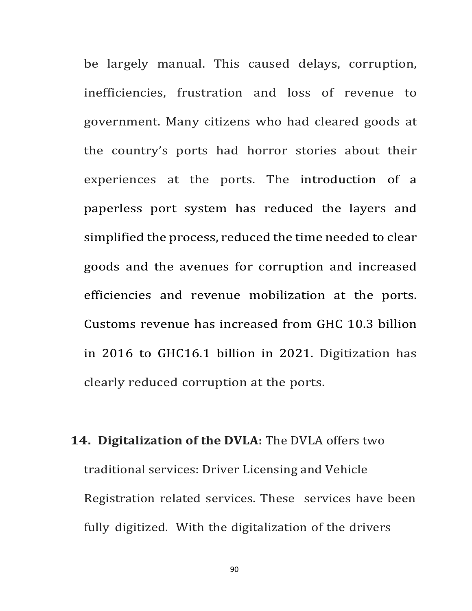be largely manual. This caused delays, corruption, inefficiencies, frustration and loss of revenue to government. Many citizens who had cleared goods at the country's ports had horror stories about their experiences at the ports. The introduction of a paperless port system has reduced the layers and simplified the process, reduced the time needed to clear goods and the avenues for corruption and increased efficiencies and revenue mobilization at the ports. Customs revenue has increased from GHC 10.3 billion in 2016 to GHC16.1 billion in 2021. Digitization has clearly reduced corruption at the ports.

**14. Digitalization of the DVLA:** The DVLA offers two traditional services: Driver Licensing and Vehicle Registration related services. These services have been fully digitized. With the digitalization of the drivers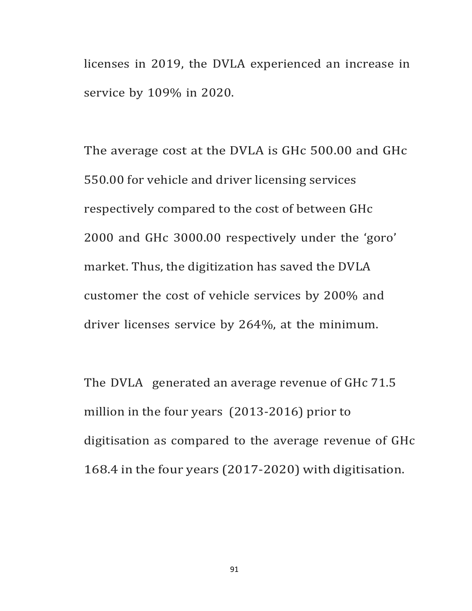licenses in 2019, the DVLA experienced an increase in service by 109% in 2020.

The average cost at the DVLA is GHc 500.00 and GHc 550.00 for vehicle and driver licensing services respectively compared to the cost of between GHc 2000 and GHc 3000.00 respectively under the 'goro' market. Thus, the digitization has saved the DVLA customer the cost of vehicle services by 200% and driver licenses service by 264%, at the minimum.

The DVLA generated an average revenue of GHc 71.5 million in the four years  $(2013-2016)$  prior to digitisation as compared to the average revenue of GHc 168.4 in the four years (2017-2020) with digitisation.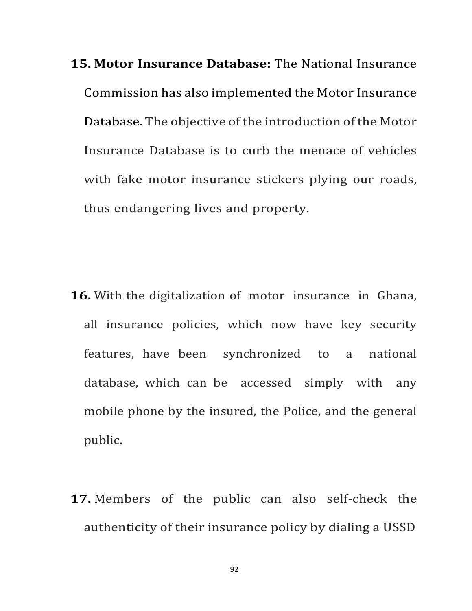**15. Motor Insurance Database:** The National Insurance Commission has also implemented the Motor Insurance Database. The objective of the introduction of the Motor Insurance Database is to curb the menace of vehicles with fake motor insurance stickers plying our roads, thus endangering lives and property.

- **16.** With the digitalization of motor insurance in Ghana, all insurance policies, which now have key security features, have been synchronized to a national database, which can be accessed simply with any mobile phone by the insured, the Police, and the general public.
- **17.** Members of the public can also self-check the authenticity of their insurance policy by dialing a USSD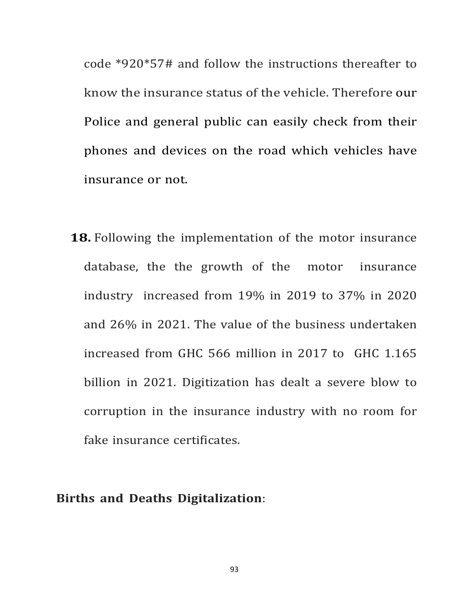code \*920\*57# and follow the instructions thereafter to know the insurance status of the vehicle. Therefore our Police and general public can easily check from their phones and devices on the road which vehicles have insurance or not.

**18.** Following the implementation of the motor insurance database, the the growth of the motor insurance industry increased from 19% in 2019 to 37% in 2020 and 26% in 2021. The value of the business undertaken increased from GHC 566 million in 2017 to GHC 1.165 billion in 2021. Digitization has dealt a severe blow to corruption in the insurance industry with no room for fake insurance certificates.

#### **Births and Deaths Digitalization**: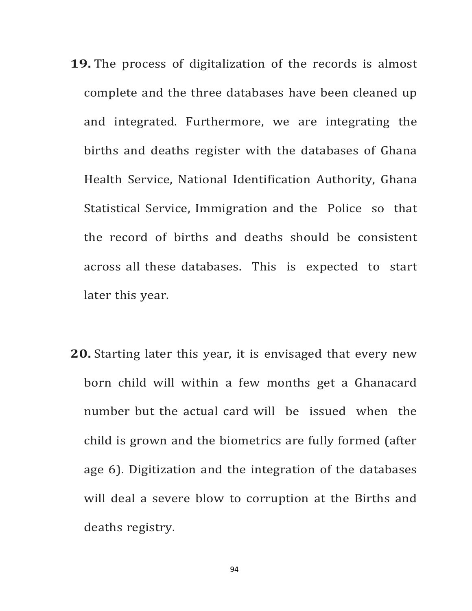- **19.** The process of digitalization of the records is almost complete and the three databases have been cleaned up and integrated. Furthermore, we are integrating the births and deaths register with the databases of Ghana Health Service, National Identification Authority, Ghana Statistical Service, Immigration and the Police so that the record of births and deaths should be consistent across all these databases. This is expected to start later this year.
- **20.** Starting later this year, it is envisaged that every new born child will within a few months get a Ghanacard number but the actual card will be issued when the child is grown and the biometrics are fully formed (after age 6). Digitization and the integration of the databases will deal a severe blow to corruption at the Births and deaths registry.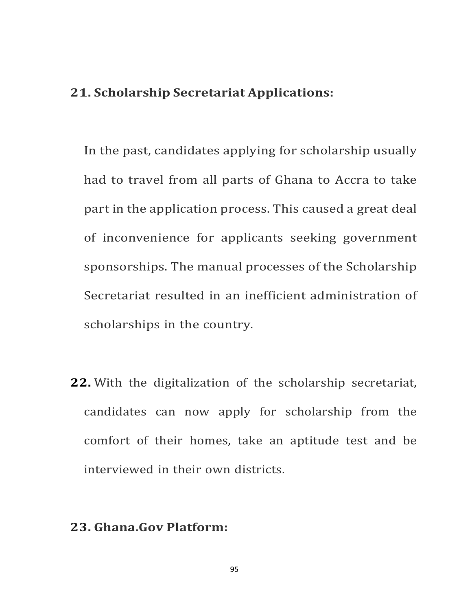#### **21. Scholarship Secretariat Applications:**

In the past, candidates applying for scholarship usually had to travel from all parts of Ghana to Accra to take part in the application process. This caused a great deal of inconvenience for applicants seeking government sponsorships. The manual processes of the Scholarship Secretariat resulted in an inefficient administration of scholarships in the country.

**22.** With the digitalization of the scholarship secretariat, candidates can now apply for scholarship from the comfort of their homes, take an aptitude test and be interviewed in their own districts.

#### **23. Ghana.Gov Platform:**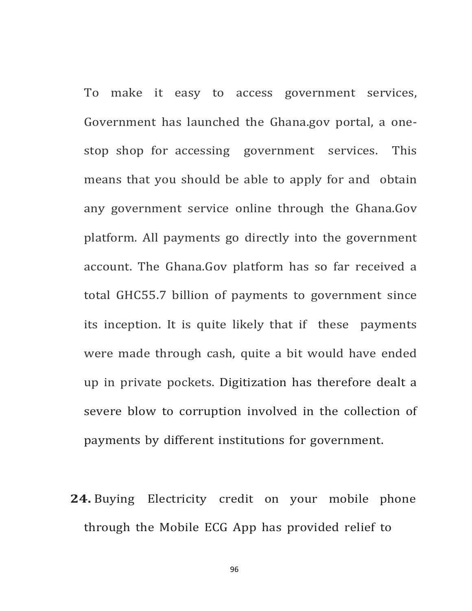To make it easy to access government services, Government has launched the Ghana.gov portal, a onestop shop for accessing government services. This means that you should be able to apply for and obtain any government service online through the Ghana.Gov platform. All payments go directly into the government account. The Ghana.Gov platform has so far received a total GHC55.7 billion of payments to government since its inception. It is quite likely that if these payments were made through cash, quite a bit would have ended up in private pockets. Digitization has therefore dealt a severe blow to corruption involved in the collection of payments by different institutions for government.

**24.** Buying Electricity credit on your mobile phone through the Mobile ECG App has provided relief to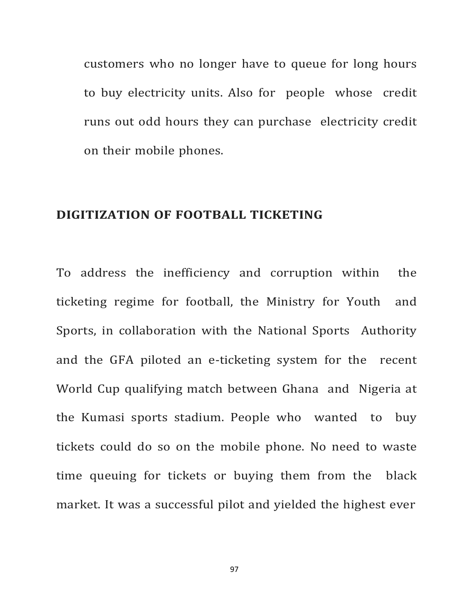customers who no longer have to queue for long hours to buy electricity units. Also for people whose credit runs out odd hours they can purchase electricity credit on their mobile phones.

#### **DIGITIZATION OF FOOTBALL TICKETING**

To address the inefficiency and corruption within the ticketing regime for football, the Ministry for Youth and Sports, in collaboration with the National Sports Authority and the GFA piloted an e-ticketing system for the recent World Cup qualifying match between Ghana and Nigeria at the Kumasi sports stadium. People who wanted to buy tickets could do so on the mobile phone. No need to waste time queuing for tickets or buying them from the black market. It was a successful pilot and yielded the highest ever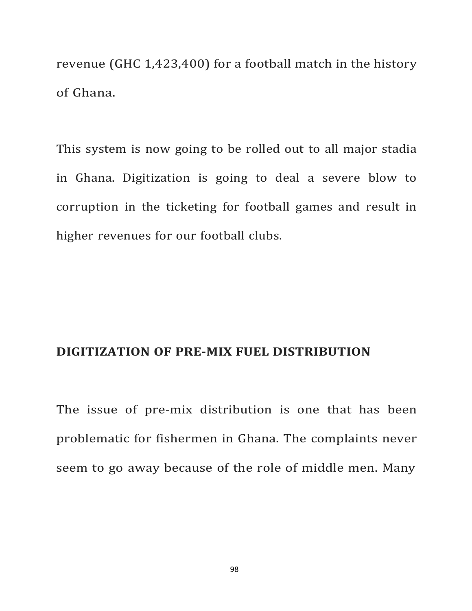revenue (GHC  $1,423,400$ ) for a football match in the history of Ghana.

This system is now going to be rolled out to all major stadia in Ghana. Digitization is going to deal a severe blow to corruption in the ticketing for football games and result in higher revenues for our football clubs.

#### **DIGITIZATION OF PRE-MIX FUEL DISTRIBUTION**

The issue of pre-mix distribution is one that has been problematic for fishermen in Ghana. The complaints never seem to go away because of the role of middle men. Many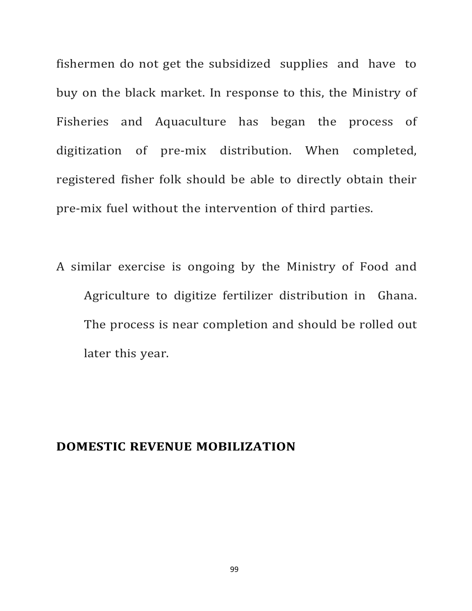fishermen do not get the subsidized supplies and have to buy on the black market. In response to this, the Ministry of Fisheries and Aquaculture has began the process of digitization of pre-mix distribution. When completed, registered fisher folk should be able to directly obtain their pre-mix fuel without the intervention of third parties.

A similar exercise is ongoing by the Ministry of Food and Agriculture to digitize fertilizer distribution in Ghana. The process is near completion and should be rolled out later this year.

#### **DOMESTIC REVENUE MOBILIZATION**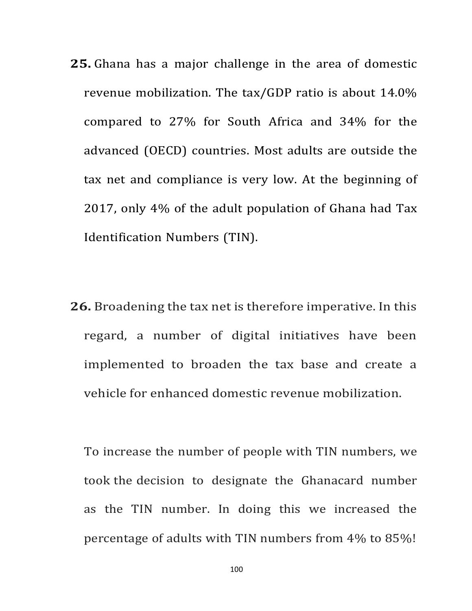- **25.** Ghana has a major challenge in the area of domestic revenue mobilization. The  $\text{tax/GDP}$  ratio is about 14.0% compared to 27% for South Africa and 34% for the advanced (OECD) countries. Most adults are outside the tax net and compliance is very low. At the beginning of 2017, only  $4\%$  of the adult population of Ghana had Tax Identification Numbers (TIN).
- **26.** Broadening the tax net is therefore imperative. In this regard, a number of digital initiatives have been implemented to broaden the tax base and create a vehicle for enhanced domestic revenue mobilization.

To increase the number of people with TIN numbers, we took the decision to designate the Ghanacard number as the TIN number. In doing this we increased the percentage of adults with TIN numbers from 4% to 85%!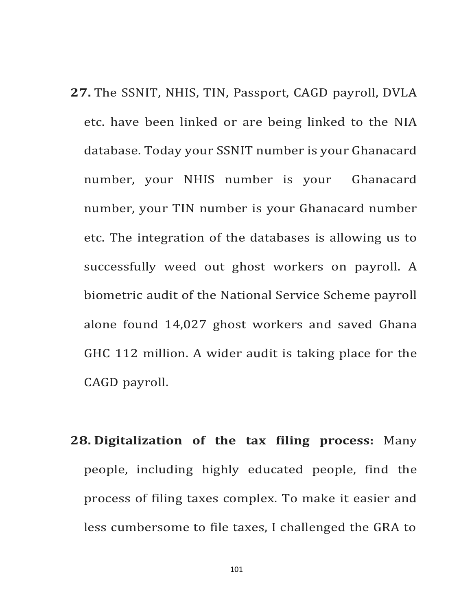- **27.** The SSNIT, NHIS, TIN, Passport, CAGD payroll, DVLA etc. have been linked or are being linked to the NIA database. Today your SSNIT number is your Ghanacard number, your NHIS number is your Ghanacard number, your TIN number is your Ghanacard number etc. The integration of the databases is allowing us to successfully weed out ghost workers on payroll. A biometric audit of the National Service Scheme payroll alone found 14,027 ghost workers and saved Ghana GHC 112 million. A wider audit is taking place for the CAGD payroll.
- **28. Digitalization of the tax filing process:** Many people, including highly educated people, find the process of filing taxes complex. To make it easier and less cumbersome to file taxes, I challenged the GRA to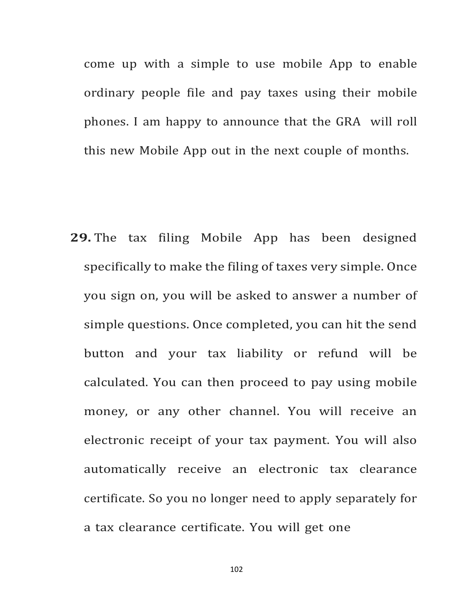come up with a simple to use mobile App to enable ordinary people file and pay taxes using their mobile phones. I am happy to announce that the GRA will roll this new Mobile App out in the next couple of months.

**29.** The tax filing Mobile App has been designed specifically to make the filing of taxes very simple. Once you sign on, you will be asked to answer a number of simple questions. Once completed, you can hit the send button and your tax liability or refund will be calculated. You can then proceed to pay using mobile money, or any other channel. You will receive an electronic receipt of your tax payment. You will also automatically receive an electronic tax clearance certificate. So you no longer need to apply separately for a tax clearance certificate. You will get one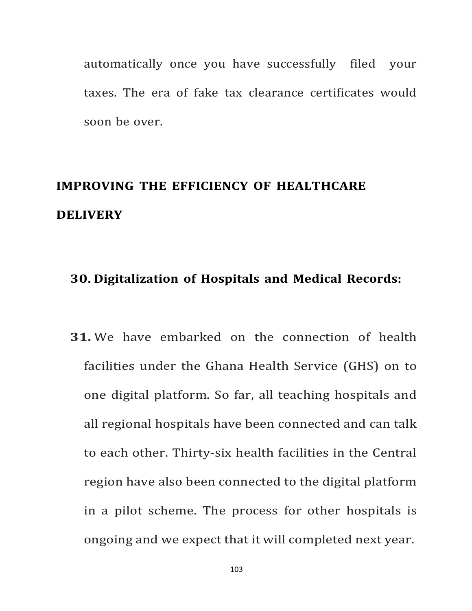automatically once you have successfully filed your taxes. The era of fake tax clearance certificates would soon be over.

## **IMPROVING THE EFFICIENCY OF HEALTHCARE DELIVERY**

#### **30. Digitalization of Hospitals and Medical Records:**

**31.** We have embarked on the connection of health facilities under the Ghana Health Service (GHS) on to one digital platform. So far, all teaching hospitals and all regional hospitals have been connected and can talk to each other. Thirty-six health facilities in the Central region have also been connected to the digital platform in a pilot scheme. The process for other hospitals is ongoing and we expect that it will completed next year.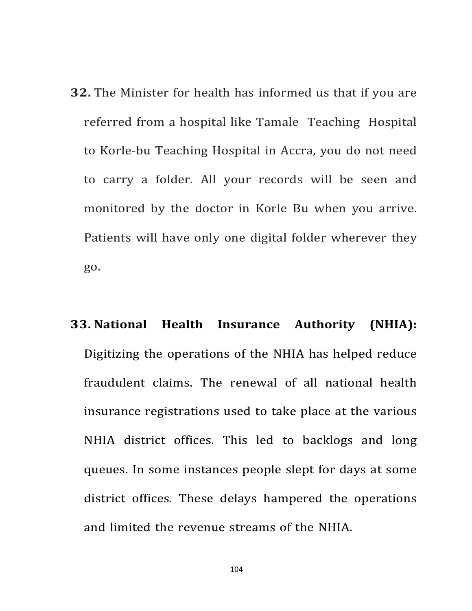**32.** The Minister for health has informed us that if you are referred from a hospital like Tamale Teaching Hospital to Korle-bu Teaching Hospital in Accra, you do not need to carry a folder. All your records will be seen and monitored by the doctor in Korle Bu when you arrive. Patients will have only one digital folder wherever they go.

# **33. National Health Insurance Authority (NHIA):** Digitizing the operations of the NHIA has helped reduce fraudulent claims. The renewal of all national health insurance registrations used to take place at the various NHIA district offices. This led to backlogs and long queues. In some instances people slept for days at some district offices. These delays hampered the operations and limited the revenue streams of the NHIA.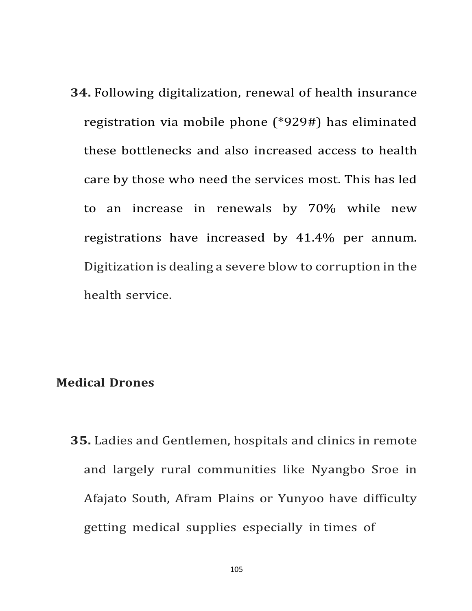**34.** Following digitalization, renewal of health insurance registration via mobile phone (\*929#) has eliminated these bottlenecks and also increased access to health care by those who need the services most. This has led to an increase in renewals by 70% while new registrations have increased by 41.4% per annum. Digitization is dealing a severe blow to corruption in the health service.

#### **Medical Drones**

**35.** Ladies and Gentlemen, hospitals and clinics in remote and largely rural communities like Nyangbo Sroe in Afajato South, Afram Plains or Yunyoo have difficulty getting medical supplies especially in times of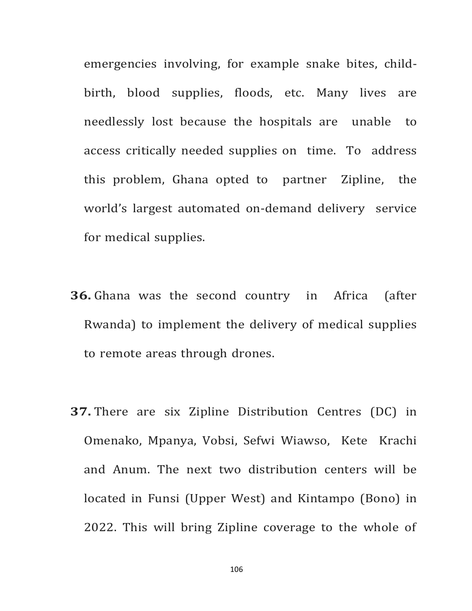emergencies involving, for example snake bites, childbirth, blood supplies, floods, etc. Many lives are needlessly lost because the hospitals are unable to access critically needed supplies on time. To address this problem, Ghana opted to partner Zipline, the world's largest automated on-demand delivery service for medical supplies.

- **36.** Ghana was the second country in Africa (after Rwanda) to implement the delivery of medical supplies to remote areas through drones.
- **37.** There are six Zipline Distribution Centres (DC) in Omenako, Mpanya, Vobsi, Sefwi Wiawso, Kete Krachi and Anum. The next two distribution centers will be located in Funsi (Upper West) and Kintampo (Bono) in 2022. This will bring Zipline coverage to the whole of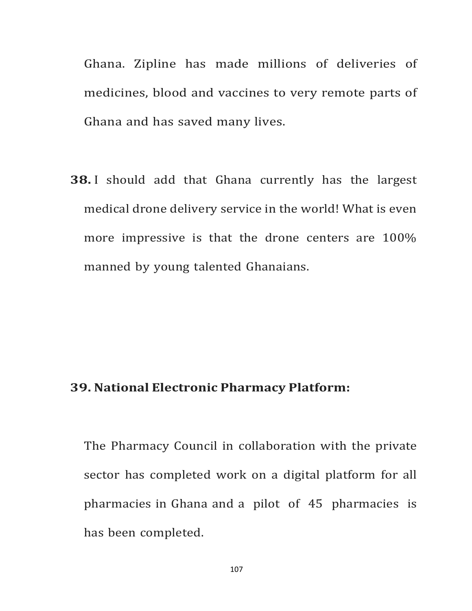Ghana. Zipline has made millions of deliveries of medicines, blood and vaccines to very remote parts of Ghana and has saved many lives.

**38.** I should add that Ghana currently has the largest medical drone delivery service in the world! What is even more impressive is that the drone centers are 100% manned by young talented Ghanaians.

#### **39. National Electronic Pharmacy Platform:**

The Pharmacy Council in collaboration with the private sector has completed work on a digital platform for all pharmacies in Ghana and a pilot of 45 pharmacies is has been completed.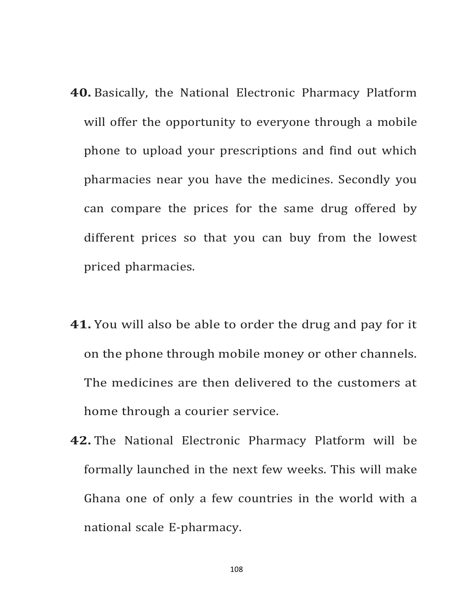- **40.** Basically, the National Electronic Pharmacy Platform will offer the opportunity to everyone through a mobile phone to upload your prescriptions and find out which pharmacies near you have the medicines. Secondly you can compare the prices for the same drug offered by different prices so that you can buy from the lowest priced pharmacies.
- **41.** You will also be able to order the drug and pay for it on the phone through mobile money or other channels. The medicines are then delivered to the customers at home through a courier service.
- **42.** The National Electronic Pharmacy Platform will be formally launched in the next few weeks. This will make Ghana one of only a few countries in the world with a national scale E-pharmacy.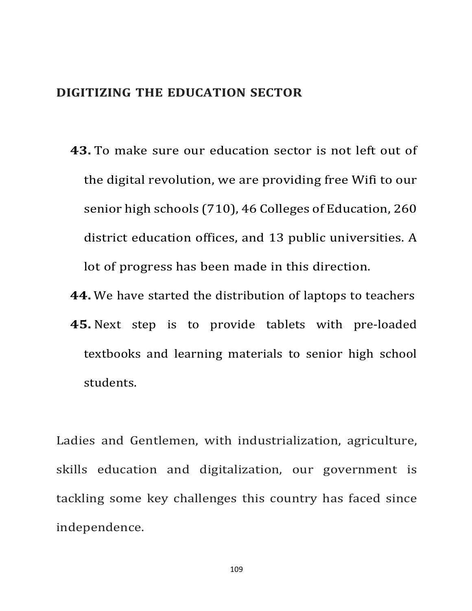## **DIGITIZING THE EDUCATION SECTOR**

- **43.** To make sure our education sector is not left out of the digital revolution, we are providing free Wifi to our senior high schools (710), 46 Colleges of Education, 260 district education offices, and 13 public universities. A lot of progress has been made in this direction.
- **44.** We have started the distribution of laptops to teachers **45.** Next step is to provide tablets with pre-loaded textbooks and learning materials to senior high school students.

Ladies and Gentlemen, with industrialization, agriculture, skills education and digitalization, our government is tackling some key challenges this country has faced since independence.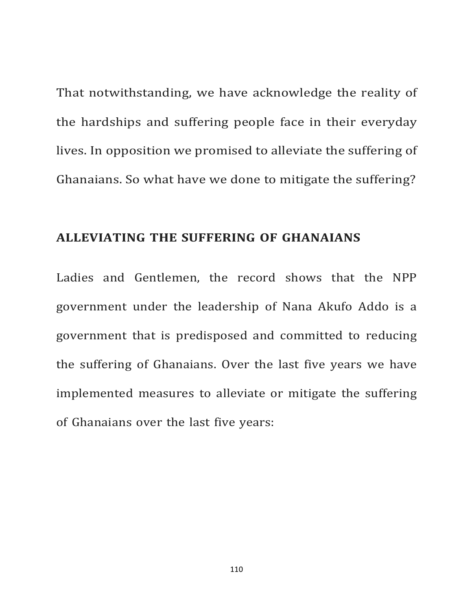That notwithstanding, we have acknowledge the reality of the hardships and suffering people face in their everyday lives. In opposition we promised to alleviate the suffering of Ghanaians. So what have we done to mitigate the suffering?

## **ALLEVIATING THE SUFFERING OF GHANAIANS**

Ladies and Gentlemen, the record shows that the NPP government under the leadership of Nana Akufo Addo is a government that is predisposed and committed to reducing the suffering of Ghanaians. Over the last five years we have implemented measures to alleviate or mitigate the suffering of Ghanaians over the last five years: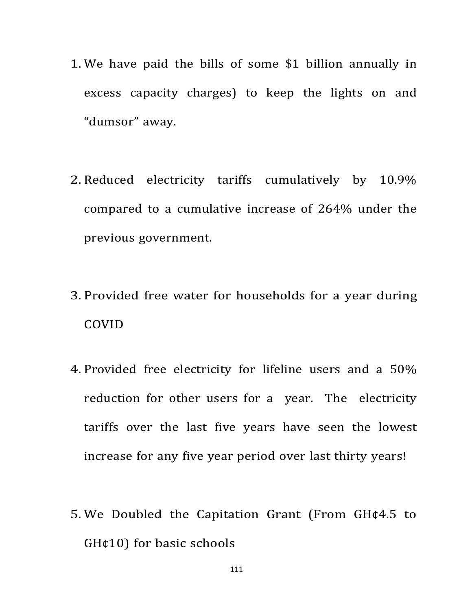- 1. We have paid the bills of some \$1 billion annually in excess capacity charges) to keep the lights on and "dumsor" away.
- 2. Reduced electricity tariffs cumulatively by 10.9% compared to a cumulative increase of 264% under the previous government.
- 3. Provided free water for households for a year during COVID
- 4. Provided free electricity for lifeline users and a 50% reduction for other users for a year. The electricity tariffs over the last five years have seen the lowest increase for any five year period over last thirty years!
- 5. We Doubled the Capitation Grant (From GH¢4.5 to GH¢10) for basic schools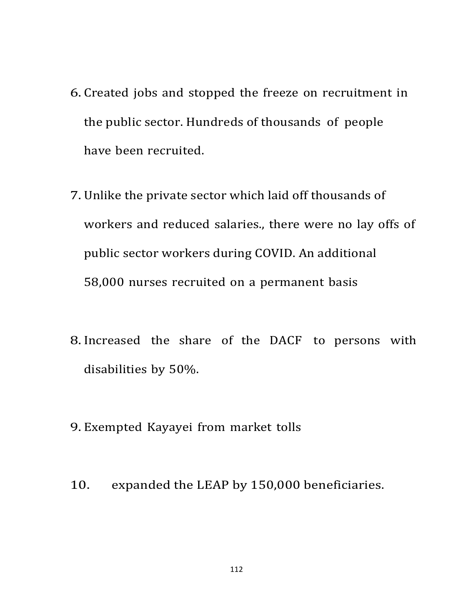- 6. Created jobs and stopped the freeze on recruitment in the public sector. Hundreds of thousands of people have been recruited.
- 7. Unlike the private sector which laid off thousands of workers and reduced salaries., there were no lay offs of public sector workers during COVID. An additional 58,000 nurses recruited on a permanent basis
- 8. Increased the share of the DACF to persons with disabilities by 50%.
- 9. Exempted Kayayei from market tolls
- 10. expanded the LEAP by 150,000 beneficiaries.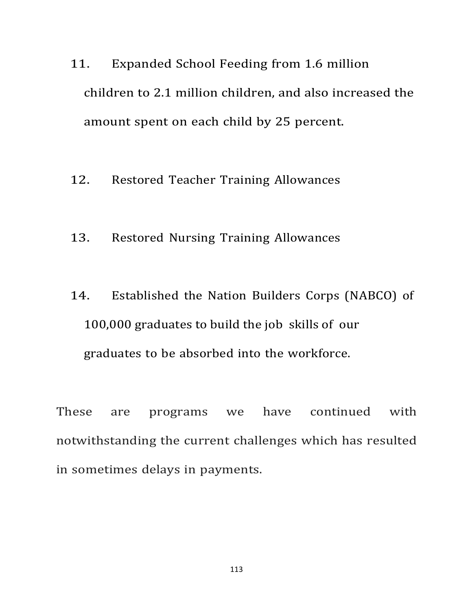- 11. Expanded School Feeding from 1.6 million children to 2.1 million children, and also increased the amount spent on each child by 25 percent.
- 12. Restored Teacher Training Allowances
- 13. Restored Nursing Training Allowances
- 14. Established the Nation Builders Corps (NABCO) of 100,000 graduates to build the job skills of our graduates to be absorbed into the workforce.

These are programs we have continued with notwithstanding the current challenges which has resulted in sometimes delays in payments.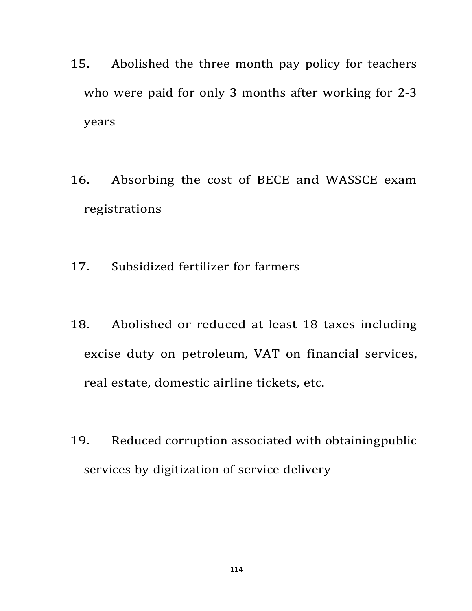- 15. Abolished the three month pay policy for teachers who were paid for only 3 months after working for  $2-3$ years
- 16. Absorbing the cost of BECE and WASSCE exam registrations
- 17. Subsidized fertilizer for farmers
- 18. Abolished or reduced at least 18 taxes including excise duty on petroleum, VAT on financial services, real estate, domestic airline tickets, etc.
- 19. Reduced corruption associated with obtainingpublic services by digitization of service delivery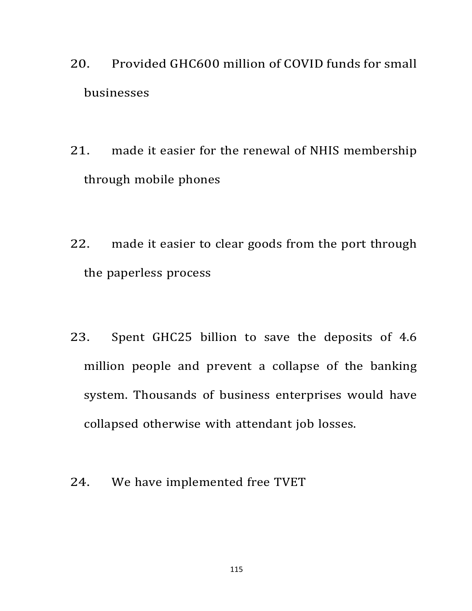- 20. Provided GHC600 million of COVID funds for small businesses
- 21. made it easier for the renewal of NHIS membership through mobile phones
- 22. made it easier to clear goods from the port through the paperless process
- 23. Spent GHC25 billion to save the deposits of 4.6 million people and prevent a collapse of the banking system. Thousands of business enterprises would have collapsed otherwise with attendant job losses.
- 24. We have implemented free TVET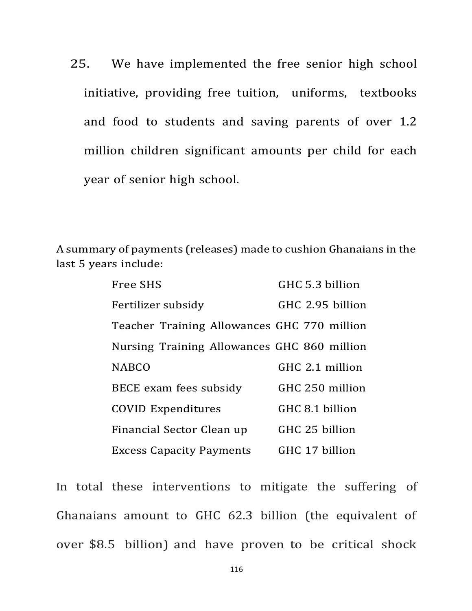25. We have implemented the free senior high school initiative, providing free tuition, uniforms, textbooks and food to students and saving parents of over 1.2 million children significant amounts per child for each year of senior high school.

A summary of payments (releases) made to cushion Ghanaians in the last 5 years include:

| <b>Free SHS</b>                             | GHC 5.3 billion  |
|---------------------------------------------|------------------|
| Fertilizer subsidy                          | GHC 2.95 billion |
| Teacher Training Allowances GHC 770 million |                  |
| Nursing Training Allowances GHC 860 million |                  |
| <b>NABCO</b>                                | GHC 2.1 million  |
| BECE exam fees subsidy                      | GHC 250 million  |
| <b>COVID Expenditures</b>                   | GHC 8.1 billion  |
| Financial Sector Clean up                   | GHC 25 billion   |
| <b>Excess Capacity Payments</b>             | GHC 17 billion   |

In total these interventions to mitigate the suffering of Ghanaians amount to GHC 62.3 billion (the equivalent of over \$8.5 billion) and have proven to be critical shock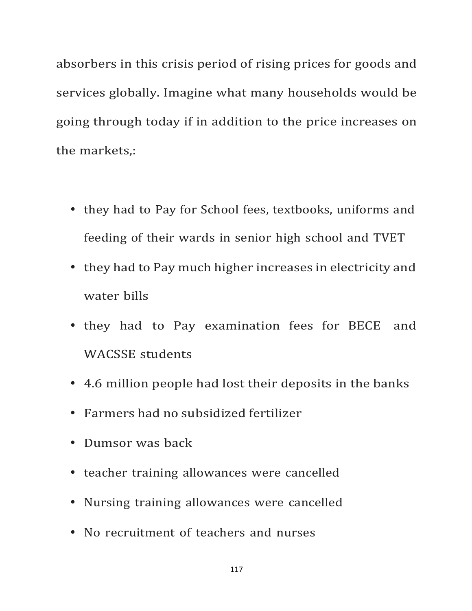absorbers in this crisis period of rising prices for goods and services globally. Imagine what many households would be going through today if in addition to the price increases on the markets,:

- they had to Pay for School fees, textbooks, uniforms and feeding of their wards in senior high school and TVET
- they had to Pay much higher increases in electricity and water bills
- they had to Pay examination fees for BECE and WACSSE students
- 4.6 million people had lost their deposits in the banks
- Farmers had no subsidized fertilizer
- Dumsor was back
- teacher training allowances were cancelled
- Nursing training allowances were cancelled
- No recruitment of teachers and nurses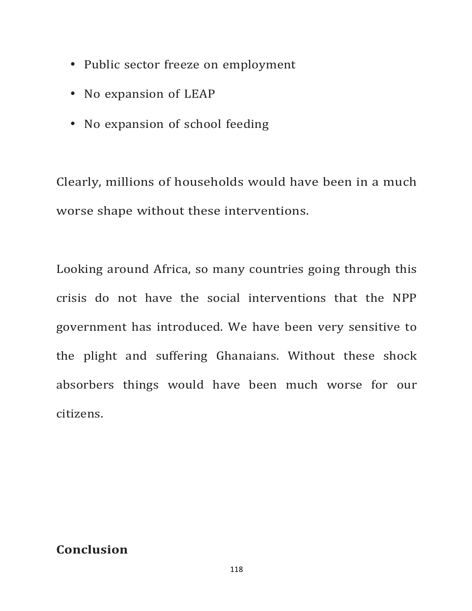- Public sector freeze on employment
- No expansion of LEAP
- No expansion of school feeding

Clearly, millions of households would have been in a much worse shape without these interventions.

Looking around Africa, so many countries going through this crisis do not have the social interventions that the NPP government has introduced. We have been very sensitive to the plight and suffering Ghanaians. Without these shock absorbers things would have been much worse for our citizens.

## **Conclusion**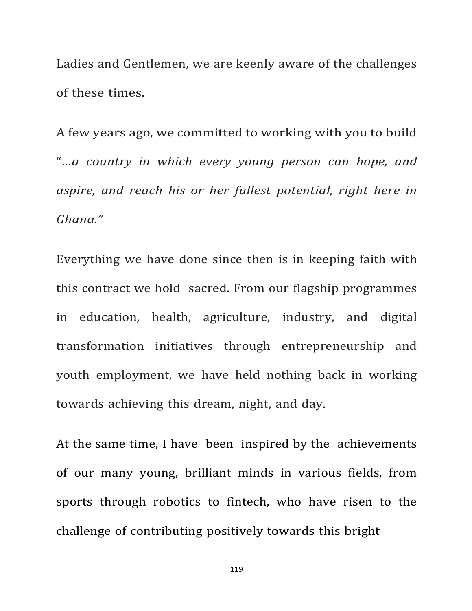Ladies and Gentlemen, we are keenly aware of the challenges of these times.

A few years ago, we committed to working with you to build "*…a country in which every young person can hope, and aspire, and reach his or her fullest potential, right here in Ghana."*

Everything we have done since then is in keeping faith with this contract we hold sacred. From our flagship programmes in education, health, agriculture, industry, and digital transformation initiatives through entrepreneurship and youth employment, we have held nothing back in working towards achieving this dream, night, and day.

At the same time, I have been inspired by the achievements of our many young, brilliant minds in various fields, from sports through robotics to fintech, who have risen to the challenge of contributing positively towards this bright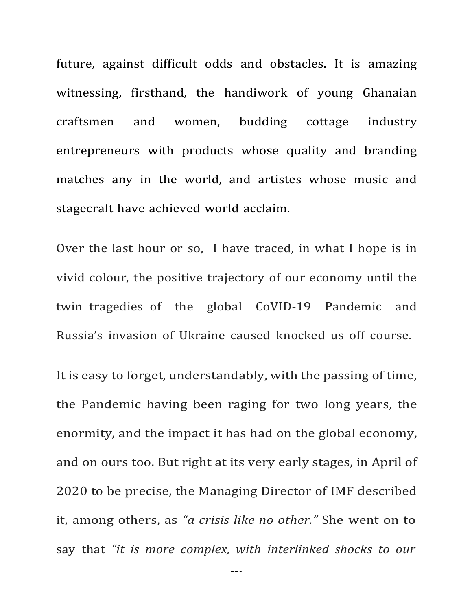future, against difficult odds and obstacles. It is amazing witnessing, firsthand, the handiwork of young Ghanaian craftsmen and women, budding cottage industry entrepreneurs with products whose quality and branding matches any in the world, and artistes whose music and stagecraft have achieved world acclaim.

Over the last hour or so, I have traced, in what I hope is in vivid colour, the positive trajectory of our economy until the twin tragedies of the global CoVID-19 Pandemic and Russia's invasion of Ukraine caused knocked us off course.

It is easy to forget, understandably, with the passing of time, the Pandemic having been raging for two long years, the enormity, and the impact it has had on the global economy, and on ours too. But right at its very early stages, in April of 2020 to be precise, the Managing Director of IMF described it, among others, as *"a crisis like no other."* She went on to say that *"it is more complex, with interlinked shocks to our*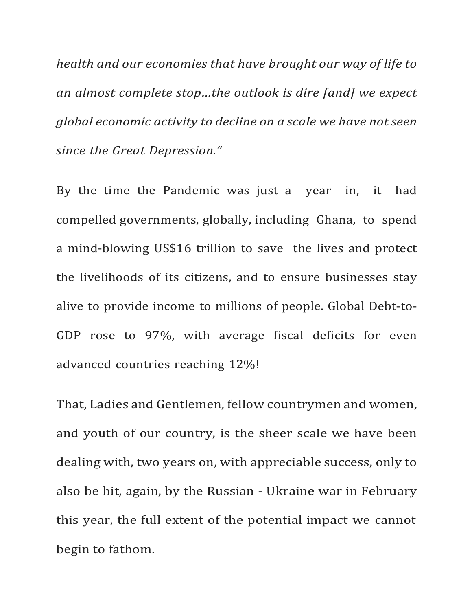*health and our economies that have brought our way of life to an almost complete stop...the outlook is dire [and] we expect global economic activity to decline on a scale we have notseen since the Great Depression."*

By the time the Pandemic was just a vear in, it had compelled governments, globally, including Ghana, to spend a mind-blowing US\$16 trillion to save the lives and protect the livelihoods of its citizens, and to ensure businesses stay alive to provide income to millions of people. Global Debt-to-GDP rose to 97%, with average fiscal deficits for even advanced countries reaching 12%!

That, Ladies and Gentlemen, fellow countrymen and women, and youth of our country, is the sheer scale we have been dealing with, two years on, with appreciable success, only to also be hit, again, by the Russian - Ukraine war in February this year, the full extent of the potential impact we cannot begin to fathom.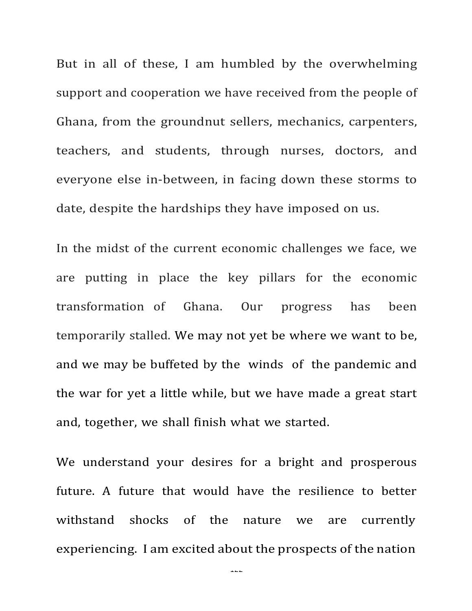But in all of these, I am humbled by the overwhelming support and cooperation we have received from the people of Ghana, from the groundnut sellers, mechanics, carpenters, teachers, and students, through nurses, doctors, and everyone else in-between, in facing down these storms to date, despite the hardships they have imposed on us.

In the midst of the current economic challenges we face, we are putting in place the key pillars for the economic transformation of Ghana. Our progress has been temporarily stalled. We may not yet be where we want to be, and we may be buffeted by the winds of the pandemic and the war for yet a little while, but we have made a great start and, together, we shall finish what we started.

We understand your desires for a bright and prosperous future. A future that would have the resilience to better withstand shocks of the nature we are currently experiencing. I am excited about the prospects of the nation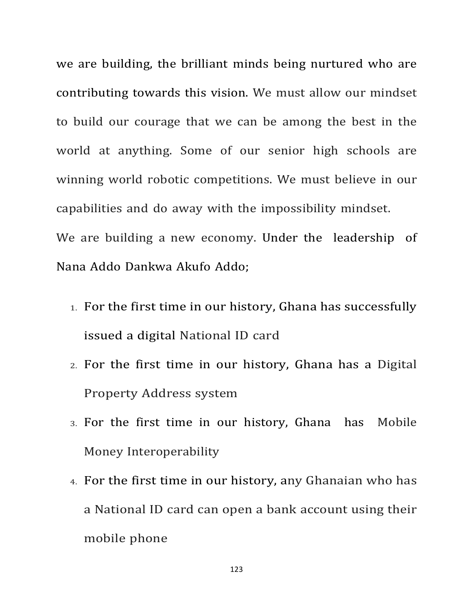we are building, the brilliant minds being nurtured who are contributing towards this vision. We must allow our mindset to build our courage that we can be among the best in the world at anything. Some of our senior high schools are winning world robotic competitions. We must believe in our capabilities and do away with the impossibility mindset. We are building a new economy. Under the leadership of Nana Addo Dankwa Akufo Addo;

- 1. For the first time in our history, Ghana has successfully issued a digital National ID card
- 2. For the first time in our history, Ghana has a Digital Property Address system
- 3. For the first time in our history, Ghana has Mobile Money Interoperability
- 4. For the first time in our history, any Ghanaian who has a National ID card can open a bank account using their mobile phone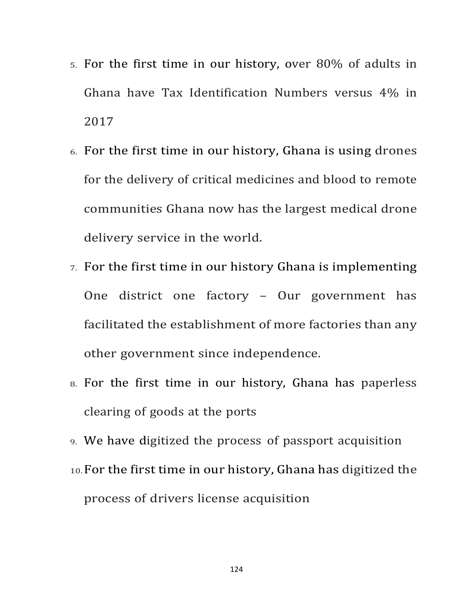- $5.$  For the first time in our history, over  $80\%$  of adults in Ghana have Tax Identification Numbers versus 4% in 2017
- $6.$  For the first time in our history, Ghana is using drones for the delivery of critical medicines and blood to remote communities Ghana now has the largest medical drone delivery service in the world.
- 7. For the first time in our history Ghana is implementing One district one factory – Our government has facilitated the establishment of more factories than any other government since independence.
- 8. For the first time in our history, Ghana has paperless clearing of goods at the ports
- 9. We have digitized the process of passport acquisition
- 10.For the first time in our history, Ghana has digitized the process of drivers license acquisition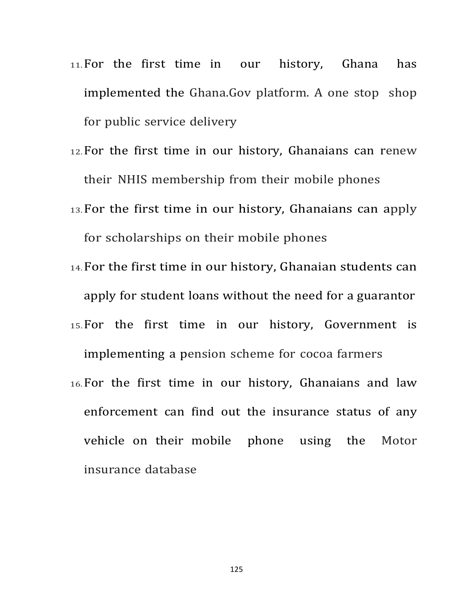- 11. For the first time in our history, Ghana has implemented the Ghana.Gov platform. A one stop shop for public service delivery
- 12. For the first time in our history, Ghanaians can renew their NHIS membership from their mobile phones
- 13. For the first time in our history, Ghanaians can apply for scholarships on their mobile phones
- 14. For the first time in our history, Ghanaian students can apply for student loans without the need for a guarantor
- 15.For the first time in our history, Government is implementing a pension scheme for cocoa farmers
- 16.For the first time in our history, Ghanaians and law enforcement can find out the insurance status of any vehicle on their mobile phone using the Motor insurance database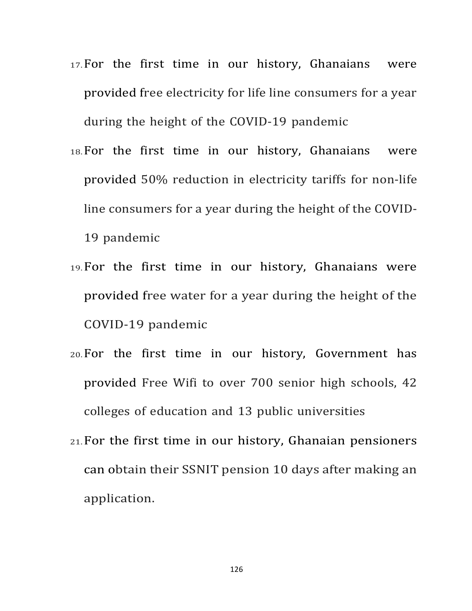- 17. For the first time in our history, Ghanaians were provided free electricity for life line consumers for a year during the height of the COVID-19 pandemic
- 18. For the first time in our history, Ghanaians were provided 50% reduction in electricity tariffs for non-life line consumers for a year during the height of the COVID-19 pandemic
- 19.For the first time in our history, Ghanaians were provided free water for a year during the height of the COVID-19 pandemic
- 20.For the first time in our history, Government has provided Free Wifi to over 700 senior high schools, 42 colleges of education and 13 public universities
- $21.$  For the first time in our history, Ghanaian pensioners can obtain their SSNIT pension 10 days after making an application.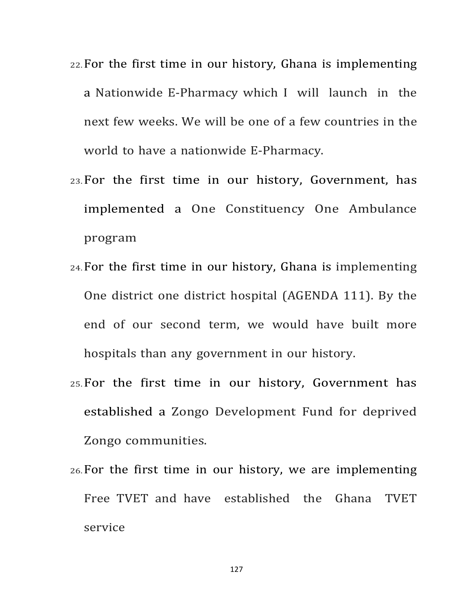- 22.For the first time in our history, Ghana is implementing a Nationwide E-Pharmacy which I will launch in the next few weeks. We will be one of a few countries in the world to have a nationwide E-Pharmacy.
- 23.For the first time in our history, Government, has implemented a One Constituency One Ambulance program
- $24.$  For the first time in our history, Ghana is implementing One district one district hospital (AGENDA 111). By the end of our second term, we would have built more hospitals than any government in our history.
- 25.For the first time in our history, Government has established a Zongo Development Fund for deprived Zongo communities.
- $26.$  For the first time in our history, we are implementing Free TVET and have established the Ghana TVET service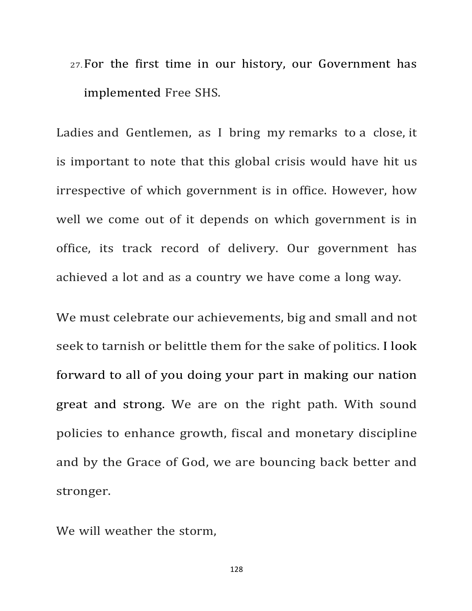27.For the first time in our history, our Government has implemented Free SHS.

Ladies and Gentlemen, as I bring my remarks to a close, it is important to note that this global crisis would have hit us irrespective of which government is in office. However, how well we come out of it depends on which government is in office, its track record of delivery. Our government has achieved a lot and as a country we have come a long way.

We must celebrate our achievements, big and small and not seek to tarnish or belittle them for the sake of politics. I look forward to all of you doing your part in making our nation great and strong. We are on the right path. With sound policies to enhance growth, fiscal and monetary discipline and by the Grace of God, we are bouncing back better and stronger.

We will weather the storm.